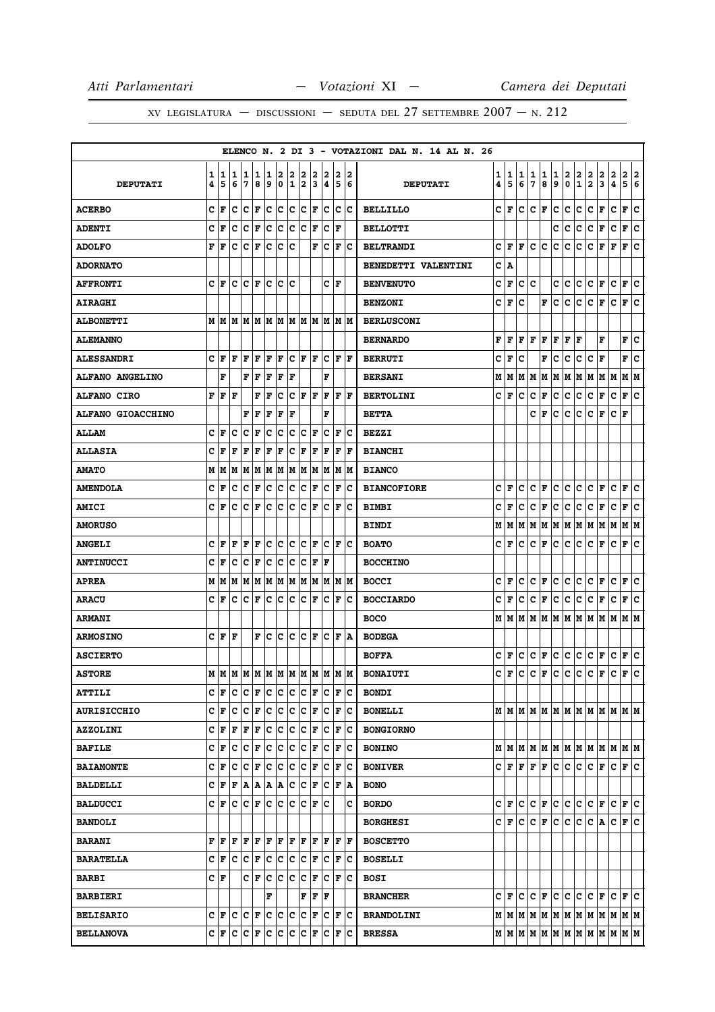|                          |        |                                                                       |        |                      |                                 |                          |        |                      |             |        |        |                      |                      |        | ELENCO N. 2 DI 3 - VOTAZIONI DAL N. 14 AL N. 26 |        |        |        |        |               |               |                  |               |                        |               |                                                                       |        |                                             |
|--------------------------|--------|-----------------------------------------------------------------------|--------|----------------------|---------------------------------|--------------------------|--------|----------------------|-------------|--------|--------|----------------------|----------------------|--------|-------------------------------------------------|--------|--------|--------|--------|---------------|---------------|------------------|---------------|------------------------|---------------|-----------------------------------------------------------------------|--------|---------------------------------------------|
| <b>DEPUTATI</b>          | 1<br>4 | 1<br>5                                                                | 1<br>6 | 1<br>7               | 1<br>8                          | 1<br>9                   | 2<br>0 | 2<br>$\mathbf 1$     | 2<br>2      | 2<br>3 | 2<br>4 | 2                    | 5                    | 2<br>6 | <b>DEPUTATI</b>                                 | 1<br>4 | 1<br>5 | 1<br>6 | 1<br>7 | 1<br>8        | $\frac{1}{9}$ | 2<br>$\mathbf 0$ | $\frac{2}{1}$ | $\frac{2}{2}$          | $\frac{2}{3}$ | $\frac{2}{4}$                                                         | 2<br>5 | $\overline{\mathbf{2}}$<br>$\boldsymbol{6}$ |
| <b>ACERBO</b>            | c      | F                                                                     | lc     | $ {\bf C}  {\bf F} $ |                                 | c c                      |        | c c                  |             | F      | ∣c     |                      | c c                  |        | <b>BELLILLO</b>                                 | c      | F      | c      | с      | F             | c             | c                | c             | c                      | F             | c                                                                     | F      | c                                           |
| <b>ADENTI</b>            | C      | ١F                                                                    | c      | c                    | F                               | c                        | ∣c     | c                    | ∣c          | F      | c      | F                    |                      |        | <b>BELLOTTI</b>                                 |        |        |        |        |               | c             | c                | c             | c                      | F             | $\mathbf C$                                                           | F      | c                                           |
| <b>ADOLFO</b>            | F      | ΙF                                                                    | lc.    | $ c _F$              |                                 | c c                      |        | ∣c                   |             |        | F C    |                      | F C                  |        | <b>BELTRANDI</b>                                | C      | F      | F      | с      | lc            | C             | c                | C             | C                      | F             | $\mathbf F$                                                           | F      | c                                           |
| <b>ADORNATO</b>          |        |                                                                       |        |                      |                                 |                          |        |                      |             |        |        |                      |                      |        | BENEDETTI VALENTINI                             | c      | ١A     |        |        |               |               |                  |               |                        |               |                                                                       |        |                                             |
| <b>AFFRONTI</b>          |        | C F                                                                   | lc.    | IC IF                |                                 | lc.                      | lc.    | ١c                   |             |        |        | CF                   |                      |        | <b>BENVENUTO</b>                                | c      | F      | c      | c      |               | c             | c                | c             | c                      | F             | c                                                                     | F      | c                                           |
| <b>AIRAGHI</b>           |        |                                                                       |        |                      |                                 |                          |        |                      |             |        |        |                      |                      |        | <b>BENZONI</b>                                  | c      | F      | c      |        | F             | c             | lc.              | c             | c                      | F             | $\mathbf c$                                                           | F C    |                                             |
| <b>ALBONETTI</b>         |        |                                                                       |        |                      |                                 |                          |        |                      |             |        |        |                      |                      |        | <b>BERLUSCONI</b>                               |        |        |        |        |               |               |                  |               |                        |               |                                                                       |        |                                             |
| <b>ALEMANNO</b>          |        |                                                                       |        |                      |                                 |                          |        |                      |             |        |        |                      |                      |        | <b>BERNARDO</b>                                 | F      | F      | F      | F      | F             | F             | F                | ١F            |                        | F             |                                                                       | F      | c                                           |
| <b>ALESSANDRI</b>        |        | C  F                                                                  | F      | F                    | l F                             | F                        | ΙF     | $ {\bf C}  {\bf F} $ |             | ١F     | Ιc     |                      | F  F                 |        | <b>BERRUTI</b>                                  | C      | F      | C      |        | F             | c             | c                | c             | c                      | F             |                                                                       | F      | c                                           |
| <b>ALFANO ANGELINO</b>   |        | F                                                                     |        |                      | ${\bf F}$ $\bf F$               | F                        | F      | ١F                   |             |        | F      |                      |                      |        | <b>BERSANI</b>                                  |        | M   M  | M M    |        | M             | M             | M                | M             | M                      | M             | M                                                                     | M      | M                                           |
| <b>ALFANO CIRO</b>       | F      | F                                                                     | ١F     |                      | F                               | F                        | ∣c     |                      | C F F       |        | ١F     |                      | $ {\bf F}  {\bf F} $ |        | <b>BERTOLINI</b>                                | c      | F      | c      | c      | F             | c             | c                | c             | c                      | г             | $\mathbf C$                                                           | F      | c                                           |
| <b>ALFANO GIOACCHINO</b> |        |                                                                       |        | F                    | ١F                              | F                        | F      | F                    |             |        | F      |                      |                      |        | <b>BETTA</b>                                    |        |        |        | c      | ΙF            | с             | c                | c             | c                      | F             | c                                                                     | l F    |                                             |
| <b>ALLAM</b>             |        | C  F                                                                  | c      | Iс                   | F                               | c                        | ∣c     | c c                  |             | ΙF     | lc.    | ١F                   |                      | Ιc     | <b>BEZZI</b>                                    |        |        |        |        |               |               |                  |               |                        |               |                                                                       |        |                                             |
| <b>ALLASIA</b>           | c      | l F                                                                   | F      | F                    | F                               | F                        | F      | c                    | F           | F      | F      | F                    |                      | ١F     | <b>BIANCHI</b>                                  |        |        |        |        |               |               |                  |               |                        |               |                                                                       |        |                                             |
| <b>AMATO</b>             |        | $M$   $M$   $M$   $M$   $M$   $M$   $M$   $M$   $M$   $M$   $M$   $M$ |        |                      |                                 |                          |        |                      |             |        |        |                      |                      |        | <b>BIANCO</b>                                   |        |        |        |        |               |               |                  |               |                        |               |                                                                       |        |                                             |
| <b>AMENDOLA</b>          | c      | ١F                                                                    | c      | $ {\bf C}  {\bf F} $ |                                 | C C C F C                |        |                      |             |        |        | ΙF                   | Ιc                   |        | <b>BIANCOFIORE</b>                              | C      | F      | c      | с      | F             | c             | c                | c             | c                      | F             | $\mathbf c$                                                           | F      | c                                           |
| <b>AMICI</b>             |        | C  F                                                                  | lc.    | $ c _F$              |                                 | c c                      |        |                      | C C F       |        |        | $ {\bf C}  {\bf F} $ | Ιc                   |        | <b>BIMBI</b>                                    | C      | F      | c      | C      | F             | $\mathbf{C}$  | c                | c             | c                      | F             | $\mathbf{C}$                                                          | F      | c                                           |
| <b>AMORUSO</b>           |        |                                                                       |        |                      |                                 |                          |        |                      |             |        |        |                      |                      |        | <b>BINDI</b>                                    | Μ      | M      | M      | M      | M             |               | M   M   M        |               | M                      | M             | M                                                                     | M  M   |                                             |
| <b>ANGELI</b>            | c      | ١F                                                                    | F      | F                    | ΙF                              | Ιc                       | lc.    | c c                  |             | ١F     | lc.    | ΙF                   |                      | ١c     | <b>BOATO</b>                                    | c      | l F    | c      | c      | F             | с             | c                | c             | c                      | F             | c                                                                     | F      | c                                           |
| <b>ANTINUCCI</b>         |        | C  F                                                                  |        |                      | C C F C C C C F F               |                          |        |                      |             |        |        |                      |                      |        | <b>BOCCHINO</b>                                 |        |        |        |        |               |               |                  |               |                        |               |                                                                       |        |                                             |
| <b>APREA</b>             |        | MIM                                                                   |        |                      | M  M  M  M  M  M  M  M  M  M  M |                          |        |                      |             |        |        |                      |                      |        | <b>BOCCI</b>                                    | c      | l F    | c      | c      | F             | с             | c                | с             | c                      | F             | c                                                                     | F      | с                                           |
| <b>ARACU</b>             | c      | l F                                                                   | lc     | $ {\bf C}  {\bf F} $ |                                 | C C C F C F C            |        |                      |             |        |        |                      |                      |        | <b>BOCCIARDO</b>                                | c      | F      | c      | C      | F             | $\mathtt{C}$  | c                | c             | c                      | F             | C                                                                     | F      | c                                           |
| <b>ARMANI</b>            |        |                                                                       |        |                      |                                 |                          |        |                      |             |        |        |                      |                      |        | <b>BOCO</b>                                     | М      | lм     | M      | M      | M             |               | M M              | M             | M                      | M             | lм                                                                    | M M    |                                             |
| <b>ARMOSINO</b>          |        | C F                                                                   | ١F     |                      | F                               | Iс                       | Iс     |                      | C C F C F A |        |        |                      |                      |        | <b>BODEGA</b>                                   |        |        |        |        |               |               |                  |               |                        |               |                                                                       |        |                                             |
| <b>ASCIERTO</b>          |        |                                                                       |        |                      |                                 |                          |        |                      |             |        |        |                      |                      |        | <b>BOFFA</b>                                    | c      | F      | c      | c      | F             | c             | lc.              | c             | lc.                    | F             | c                                                                     | F      | c                                           |
| <b>ASTORE</b>            |        | M  M  M  M  M  M  M  M  M  M  M  M  M                                 |        |                      |                                 |                          |        |                      |             |        |        |                      |                      |        | <b>BONAIUTI</b>                                 | c      | l F    | c      | c      | F             | $\mathbf c$   | c                | c             | c                      | F             | lc.                                                                   | F      | lc.                                         |
| <b>ATTILI</b>            |        | C F C C F C C C C F C F C                                             |        |                      |                                 |                          |        |                      |             |        |        |                      |                      |        | <b>BONDI</b>                                    |        |        |        |        |               |               |                  |               |                        |               |                                                                       |        |                                             |
| <b>AURISICCHIO</b>       |        | сŀг                                                                   | lc.    | $ {\bf C}  {\bf F} $ |                                 | c c                      |        |                      | C C F C F C |        |        |                      |                      |        | <b>BONELLI</b>                                  |        |        |        |        |               |               |                  |               |                        |               | MMMMMMMMMMMMMMM                                                       |        |                                             |
| <b>AZZOLINI</b>          |        | CFF                                                                   |        | F F                  |                                 | c c c c F c F c          |        |                      |             |        |        |                      |                      |        | <b>BONGIORNO</b>                                |        |        |        |        |               |               |                  |               |                        |               |                                                                       |        |                                             |
| <b>BAFILE</b>            |        | сŀг                                                                   | c      | $ {\bf C} $ F        |                                 | C C C F C F C            |        |                      |             |        |        |                      |                      |        | <b>BONINO</b>                                   |        |        |        |        |               |               |                  |               |                        |               | MMMMMMMMMMMMMM                                                        |        |                                             |
| <b>BAIAMONTE</b>         |        | сŀг                                                                   | lc.    | $ {\bf C}  {\bf F} $ |                                 | C C C F C F C            |        |                      |             |        |        |                      |                      |        | <b>BONIVER</b>                                  |        | C F    | F      | F      | F             | $\mathbf c$   | lc.              | c.            | $ {\bf C}\>  {\bf F} $ |               | $\mathbf c$                                                           | F      | c                                           |
| <b>BALDELLI</b>          |        | C F F A A A A C C F C F A                                             |        |                      |                                 |                          |        |                      |             |        |        |                      |                      |        | <b>BONO</b>                                     |        |        |        |        |               |               |                  |               |                        |               |                                                                       |        |                                             |
| <b>BALDUCCI</b>          |        | CF                                                                    |        | IC IC IF             |                                 | c c c c  <sub>F</sub>  c |        |                      |             |        |        |                      |                      | Ιc     | <b>BORDO</b>                                    | c      | F      | c      | c      | F             | $\mathbf c$   | lc.              | c             | c                      | F             | c                                                                     | F      | c                                           |
| <b>BANDOLI</b>           |        |                                                                       |        |                      |                                 |                          |        |                      |             |        |        |                      |                      |        | <b>BORGHESI</b>                                 |        | C F    | lc.    |        | $ {\tt C} $ F |               | c c c a          |               |                        |               | C F C                                                                 |        |                                             |
| <b>BARANI</b>            |        | F F                                                                   | lF     |                      | F F                             | $F$ $F$ $F$ $F$ $F$ $F$  |        |                      |             |        |        |                      | F  F                 |        | <b>BOSCETTO</b>                                 |        |        |        |        |               |               |                  |               |                        |               |                                                                       |        |                                             |
| <b>BARATELLA</b>         |        | C F C C F C C C F C F C F C                                           |        |                      |                                 |                          |        |                      |             |        |        |                      |                      |        | <b>BOSELLI</b>                                  |        |        |        |        |               |               |                  |               |                        |               |                                                                       |        |                                             |
| <b>BARBI</b>             |        | C F                                                                   |        |                      | C F                             | C C C F C F C            |        |                      |             |        |        |                      |                      |        | <b>BOSI</b>                                     |        |        |        |        |               |               |                  |               |                        |               |                                                                       |        |                                             |
| <b>BARBIERI</b>          |        |                                                                       |        |                      |                                 | F                        |        |                      |             |        | F F F  |                      |                      |        | <b>BRANCHER</b>                                 |        | C∣F    | c      | c      | F             | lc.           | c c              |               | $ {\bf C}\>  {\bf F} $ |               | $ c _F c$                                                             |        |                                             |
| <b>BELISARIO</b>         |        | C  F                                                                  | lc.    | $ {\bf C}  {\bf F} $ |                                 | C C C F C F C            |        |                      |             |        |        |                      |                      |        | <b>BRANDOLINI</b>                               |        |        |        |        |               |               |                  |               |                        |               | $M$   $M$   $M$   $M$   $M$   $M$   $M$   $M$   $M$   $M$   $M$   $M$ |        |                                             |
| <b>BELLANOVA</b>         |        | C F C C F C C C C F C F C                                             |        |                      |                                 |                          |        |                      |             |        |        |                      |                      |        | <b>BRESSA</b>                                   |        |        |        |        |               |               |                  |               |                        |               | $M$   $M$   $M$   $M$   $M$   $M$   $M$   $M$   $M$   $M$   $M$   $M$ |        |                                             |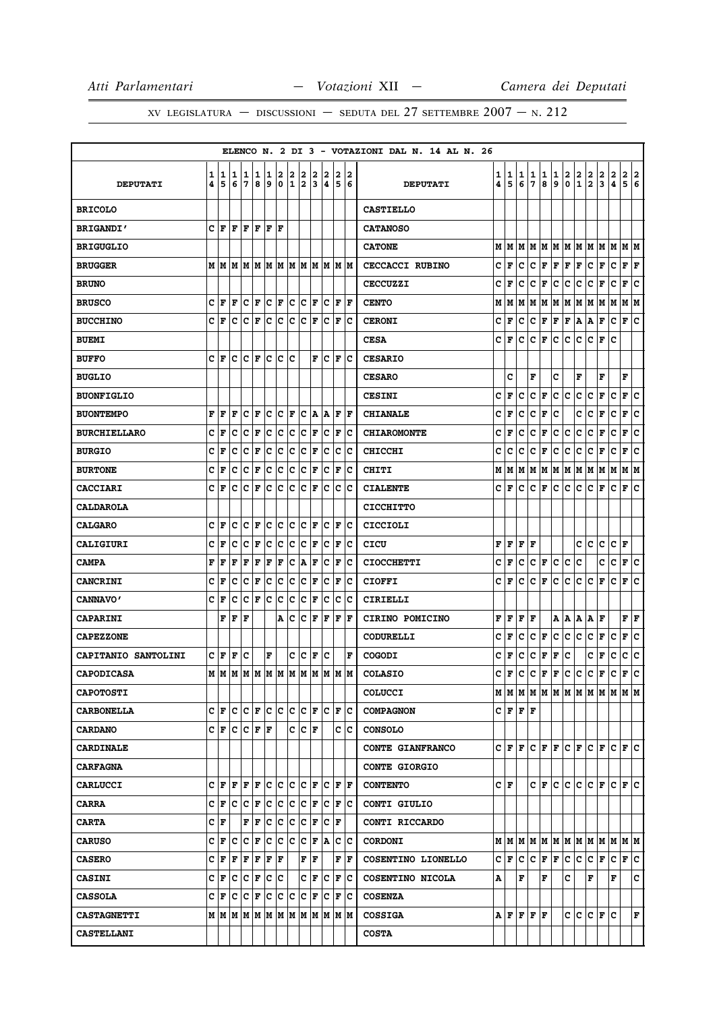|                     |   |             |     |                      |                           |                      |     |               |               |               |                                                                                                     |               |                           | ELENCO N. 2 DI 3 - VOTAZIONI DAL N. 14 AL N. 26 |       |             |       |             |                              |             |                      |                                                              |                         |                         |              |                                                                       |               |
|---------------------|---|-------------|-----|----------------------|---------------------------|----------------------|-----|---------------|---------------|---------------|-----------------------------------------------------------------------------------------------------|---------------|---------------------------|-------------------------------------------------|-------|-------------|-------|-------------|------------------------------|-------------|----------------------|--------------------------------------------------------------|-------------------------|-------------------------|--------------|-----------------------------------------------------------------------|---------------|
|                     | 1 | 1           | 1   | 1                    | 1                         | 1                    | 2   | $\frac{2}{1}$ | $\frac{2}{2}$ | $\frac{2}{3}$ | $\frac{2}{4}$                                                                                       | $\frac{2}{5}$ | 2                         |                                                 | 1     | 1           | 1     | 1           | 1                            | 1           | 2                    | $\left  \begin{smallmatrix} 2 \ 1 \end{smallmatrix} \right.$ | 2                       | 2                       | 2            | 2                                                                     | $\frac{2}{6}$ |
| <b>DEPUTATI</b>     | 4 | 5           | 6   | 7                    | 8                         | 9                    | 0   |               |               |               |                                                                                                     |               | 6                         | <b>DEPUTATI</b>                                 | 4     | 5           | 6     | 7           | 8                            | 9           | $\mathbf 0$          |                                                              | $\mathbf 2$             | $\overline{\mathbf{3}}$ | $\pmb{4}$    | 5                                                                     |               |
| <b>BRICOLO</b>      |   |             |     |                      |                           |                      |     |               |               |               |                                                                                                     |               |                           | <b>CASTIELLO</b>                                |       |             |       |             |                              |             |                      |                                                              |                         |                         |              |                                                                       |               |
| <b>BRIGANDI'</b>    | c | l F         | l F | F                    | ΙF                        | F                    | ١F  |               |               |               |                                                                                                     |               |                           | <b>CATANOSO</b>                                 |       |             |       |             |                              |             |                      |                                                              |                         |                         |              |                                                                       |               |
| <b>BRIGUGLIO</b>    |   |             |     |                      |                           |                      |     |               |               |               |                                                                                                     |               |                           | <b>CATONE</b>                                   |       |             |       |             |                              |             |                      |                                                              |                         |                         |              | $M$   $M$   $M$   $M$   $M$   $M$   $M$   $M$   $M$   $M$   $M$   $M$ |               |
| <b>BRUGGER</b>      |   |             |     |                      |                           |                      |     |               |               |               |                                                                                                     |               |                           | CECCACCI RUBINO                                 | c     | F           | c     | с           | г                            | Г           | F                    | F                                                            | с                       | F                       | $\mathbf C$  | F                                                                     | F             |
| <b>BRUNO</b>        |   |             |     |                      |                           |                      |     |               |               |               |                                                                                                     |               |                           | <b>CECCUZZI</b>                                 | c     | F           | c     | c           | F                            | с           | с                    | c                                                            | с                       | F                       | c            | F                                                                     | c             |
| <b>BRUSCO</b>       |   | C F         | ١F  | $ {\bf C}  {\bf F} $ |                           | $ {\bf C}  {\bf F} $ |     |               |               |               | C C F C F F                                                                                         |               |                           | <b>CENTO</b>                                    | M   M |             | M     | M           | M                            | M           | M   M                |                                                              | M  M                    |                         | М            | MM                                                                    |               |
| <b>BUCCHINO</b>     |   | CF          | c   | c                    | F                         | Ιc                   | ΙC  | c             | ∣c            | F             | Iс                                                                                                  | F             | ΙC                        | <b>CERONI</b>                                   | c     | F           | c     | с           | г                            | Г           | Г                    | Α                                                            | Α                       | F                       | с            | F                                                                     | c             |
| <b>BUEMI</b>        |   |             |     |                      |                           |                      |     |               |               |               |                                                                                                     |               |                           | <b>CESA</b>                                     | c     | F           | c     | c           | F                            | c           | c                    | c                                                            | c                       | F                       | c            |                                                                       |               |
| <b>BUFFO</b>        |   | CF          | ١c  | $ {\bf C}  {\bf F} $ |                           | lc.                  | ١c  | ١c            |               |               | F C                                                                                                 |               | IF IC                     | <b>CESARIO</b>                                  |       |             |       |             |                              |             |                      |                                                              |                         |                         |              |                                                                       |               |
| <b>BUGLIO</b>       |   |             |     |                      |                           |                      |     |               |               |               |                                                                                                     |               |                           | <b>CESARO</b>                                   |       | c           |       | F           |                              | c           |                      | F                                                            |                         | F                       |              | F                                                                     |               |
| <b>BUONFIGLIO</b>   |   |             |     |                      |                           |                      |     |               |               |               |                                                                                                     |               |                           | <b>CESINI</b>                                   | c     | F           | c     | c           | F                            | с           | c                    | c                                                            | c                       | F                       | $\mathbf C$  | F                                                                     | c             |
| <b>BUONTEMPO</b>    | F | l F         | l F | с                    | F                         | c                    | ∣c  | F             | С             | A             | ΙA                                                                                                  |               | F  F                      | <b>CHIANALE</b>                                 | c     | F           | с     | $\mathbf c$ | Г                            | c           |                      | c                                                            | с                       | F                       | c            | F                                                                     | c             |
| <b>BURCHIELLARO</b> |   | CF          | ΙC  | $ {\bf C}  {\bf F} $ |                           | c c                  |     | c c           |               | F             |                                                                                                     |               | C F C                     | <b>CHIAROMONTE</b>                              | c     | F           | c     | c           | г                            | c           | c                    | c                                                            | c                       | F                       | $\mathbf{C}$ | F                                                                     | lc.           |
| <b>BURGIO</b>       | с | F           | c   | c                    | F                         | c                    | ∣c  | Iс            | ∣c            | F             | Iс                                                                                                  | c             | ∣c                        | <b>CHICCHI</b>                                  | c     | с           | c     | с           | г                            | с           | с                    | c                                                            | с                       | F                       | с            | F                                                                     | c             |
| <b>BURTONE</b>      | c | F           | c   | c                    | F                         | c                    | ∣c  | c             | $ {\bf c}$    | F             | ∣c                                                                                                  | F             | ∣c                        | <b>CHITI</b>                                    | Μ     | M           | М     | M           | М                            | M           | MM                   |                                                              | MM                      |                         | M            | MM                                                                    |               |
| <b>CACCIARI</b>     | c | ١F          | c   | Iс                   | F                         | c                    | ∣c  | c             | c             | F             | Ιc                                                                                                  |               | c c                       | <b>CIALENTE</b>                                 | c     | F           | c     | c           | F                            | c           | c                    | c                                                            | c                       | F                       | lc.          | F                                                                     | lc.           |
| <b>CALDAROLA</b>    |   |             |     |                      |                           |                      |     |               |               |               |                                                                                                     |               |                           | <b>CICCHITTO</b>                                |       |             |       |             |                              |             |                      |                                                              |                         |                         |              |                                                                       |               |
| <b>CALGARO</b>      |   | CIF         | Iс  | $ {\bf C}  {\bf F} $ |                           | lc.                  | ∣c  |               |               |               | C C F C F C                                                                                         |               |                           | <b>CICCIOLI</b>                                 |       |             |       |             |                              |             |                      |                                                              |                         |                         |              |                                                                       |               |
| <b>CALIGIURI</b>    |   | CF          | c   | с                    | F                         | Ιc                   | ∣c  | c             | ∣c            | F             | c                                                                                                   | F             | ΙC                        | CICU                                            | F     | F           | F     | F           |                              |             |                      | с                                                            | c                       | с                       | c            | F                                                                     |               |
| <b>CAMPA</b>        |   | FF          | F   | F                    | F                         | F                    | F   | C A           |               | F             | Iс                                                                                                  |               | F C                       | <b>CIOCCHETTI</b>                               | с     | F           | c     | c           | F                            | c           | c                    | ١c                                                           |                         | с                       | c            | F                                                                     | Iс            |
| <b>CANCRINI</b>     | c | F           | c   | c                    | F                         | c                    | ∣c  | c             | c             | F             | Iс                                                                                                  | F             | c                         | <b>CIOFFI</b>                                   | c     | F           | с     | с           | г                            | с           | с                    | c                                                            | с                       | F                       | с            | F                                                                     | c             |
| <b>CANNAVO'</b>     | c | F           | с   | c                    | F                         | c                    | ∣c  | c             | c             | F             | ∣c                                                                                                  |               | c c                       | CIRIELLI                                        |       |             |       |             |                              |             |                      |                                                              |                         |                         |              |                                                                       |               |
| <b>CAPARINI</b>     |   | F           | F   | F                    |                           |                      | Α   | c             | c             | F             | F                                                                                                   | F             | ١F                        | CIRINO POMICINO                                 | F     | F           | F     | F           |                              | Α           | Α                    | Α                                                            | Α                       | F                       |              | F                                                                     | F             |
| <b>CAPEZZONE</b>    |   |             |     |                      |                           |                      |     |               |               |               |                                                                                                     |               |                           | <b>CODURELLI</b>                                | c     | F           | c     | с           | г                            | c           | с                    | c                                                            | с                       | F                       | c            | F                                                                     | lc.           |
| CAPITANIO SANTOLINI |   | CF          | F C |                      |                           | F                    |     |               | c c           | F             | Iс                                                                                                  |               | F                         | <b>COGODI</b>                                   | c     | F           | c     | C           | F                            | Г           | c                    |                                                              | c                       | F                       | $\mathbf C$  | c                                                                     | $ {\bf c} $   |
| <b>CAPODICASA</b>   |   |             |     |                      |                           |                      |     |               |               |               | M  M  M  M  M  M  M  M  M  M  M  M  M                                                               |               |                           | <b>COLASIO</b>                                  | c     | lF.         | lc.   | lc.         | F                            | $\mathbf F$ | c                    | lc.                                                          | lc.                     | F                       | lc.          | F                                                                     | c             |
| <b>CAPOTOSTI</b>    |   |             |     |                      |                           |                      |     |               |               |               |                                                                                                     |               |                           | <b>COLUCCI</b>                                  |       |             |       |             |                              |             |                      |                                                              |                         |                         |              |                                                                       |               |
| <b>CARBONELLA</b>   | c | ١F          | lc  |                      | $ {\bf C}  {\bf F} $      | c c                  |     | c c           |               |               | IF IC                                                                                               |               | F  C                      | <b>COMPAGNON</b>                                | C F   |             | F   F |             |                              |             |                      |                                                              |                         |                         |              |                                                                       |               |
| <b>CARDANO</b>      |   | C F C C F F |     |                      |                           |                      |     |               | C C F         |               |                                                                                                     |               | c c                       | <b>CONSOLO</b>                                  |       |             |       |             |                              |             |                      |                                                              |                         |                         |              |                                                                       |               |
| <b>CARDINALE</b>    |   |             |     |                      |                           |                      |     |               |               |               |                                                                                                     |               |                           | CONTE GIANFRANCO                                |       | C F F       |       |             | $C$ $F$ $F$                  |             | $ {\bf C}  {\bf F} $ |                                                              | $ c _{\mathbf{F}}$      |                         |              | $ c _F c$                                                             |               |
| <b>CARFAGNA</b>     |   |             |     |                      |                           |                      |     |               |               |               |                                                                                                     |               |                           | <b>CONTE GIORGIO</b>                            |       |             |       |             |                              |             |                      |                                                              |                         |                         |              |                                                                       |               |
| <b>CARLUCCI</b>     |   | CF          |     | $F$ $F$ $F$          |                           |                      |     |               |               |               |                                                                                                     |               |                           | <b>CONTENTO</b>                                 |       | C∣F         |       |             | C F                          | c           | c                    | lc.                                                          | CF                      |                         | c            | $ {\bf F} {\bf C} $                                                   |               |
| <b>CARRA</b>        |   | CF          |     | $ C C $ $\mathbf{F}$ |                           |                      |     |               |               |               |                                                                                                     |               |                           | CONTI GIULIO                                    |       |             |       |             |                              |             |                      |                                                              |                         |                         |              |                                                                       |               |
| <b>CARTA</b>        |   | C F         |     |                      | $\mathbf{F}   \mathbf{F}$ |                      |     |               |               |               | C C C F C F                                                                                         |               |                           | CONTI RICCARDO                                  |       |             |       |             |                              |             |                      |                                                              |                         |                         |              |                                                                       |               |
| <b>CARUSO</b>       | c | lF          | lc  | c                    | F                         | c                    | c   | c c           |               |               | F A                                                                                                 |               | c c                       | <b>CORDONI</b>                                  |       | MM          |       |             |                              |             |                      |                                                              |                         |                         |              | MMMMMMMMMMMMM                                                         |               |
| <b>CASERO</b>       |   | C F         | F   | F                    | F                         | F                    | F   |               | F F           |               |                                                                                                     |               | ${\bf F} \,   \, {\bf F}$ | COSENTINO LIONELLO                              |       | C∣F         | lc.   |             | $ {\bf C}  {\bf F}  {\bf F}$ |             | c c                  |                                                              | $ {\bf C}\>  {\bf F}\>$ |                         | c            | F C                                                                   |               |
| <b>CASINI</b>       |   | CF          |     | C  C  F              |                           | c c                  |     |               |               |               | $ {\boldsymbol{c}} $ ${\boldsymbol{F}}$ $ {\boldsymbol{c}} $ ${\boldsymbol{F}}$ $ {\boldsymbol{c}}$ |               |                           | COSENTINO NICOLA                                | Α     |             | F     |             | F                            |             | c                    |                                                              | F                       |                         | F            |                                                                       | c             |
| <b>CASSOLA</b>      |   | CF          | lc. | $ {\bf C}  {\bf F} $ |                           | c                    | c c |               | Iс            | F             |                                                                                                     |               | $ C $ $\mathbf{F} C$      | <b>COSENZA</b>                                  |       |             |       |             |                              |             |                      |                                                              |                         |                         |              |                                                                       |               |
| <b>CASTAGNETTI</b>  |   |             |     |                      |                           |                      |     |               |               |               | $M$   $M$   $M$   $M$   $M$   $M$   $M$   $M$   $M$   $M$   $M$   $M$                               |               |                           | <b>COSSIGA</b>                                  |       | $A$ $F$ $F$ |       | F F         |                              |             | c c                  |                                                              | $ {\bf C}\>  {\bf F} $  |                         | lc.          |                                                                       | F             |
| <b>CASTELLANI</b>   |   |             |     |                      |                           |                      |     |               |               |               |                                                                                                     |               |                           | <b>COSTA</b>                                    |       |             |       |             |                              |             |                      |                                                              |                         |                         |              |                                                                       |               |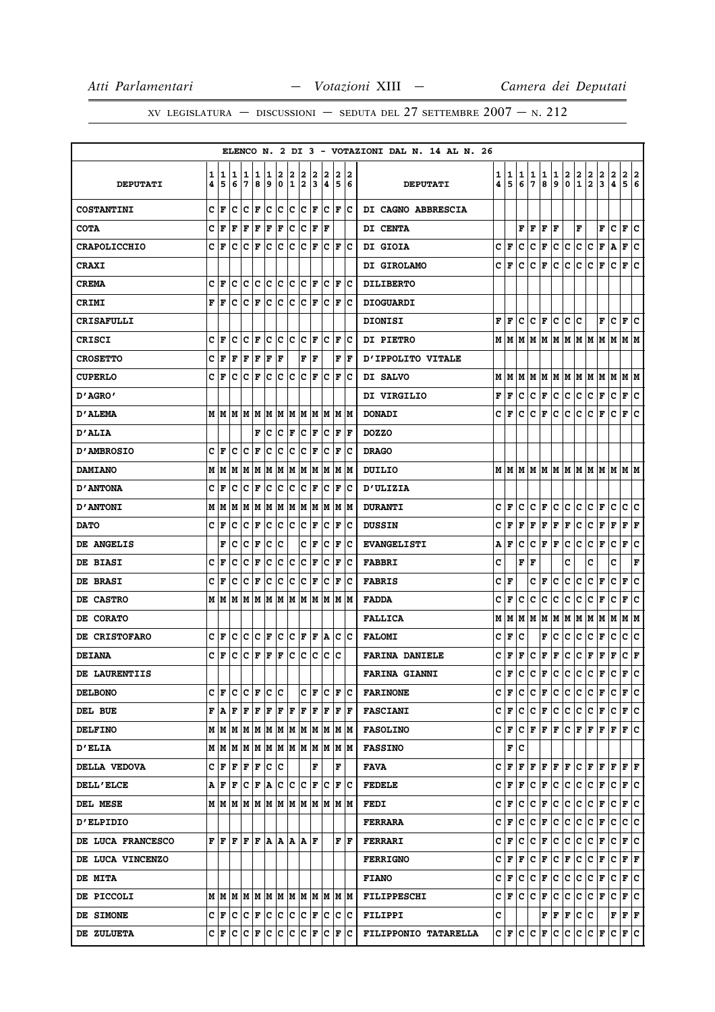|                     |        |           |             |                      |             |        |                  |                  |                     |             |                 |        |                      | ELENCO N. 2 DI 3 - VOTAZIONI DAL N. 14 AL N. 26 |        |         |        |        |                      |        |                  |               |                                                                                                                                                                                                |               |                                           |                   |        |
|---------------------|--------|-----------|-------------|----------------------|-------------|--------|------------------|------------------|---------------------|-------------|-----------------|--------|----------------------|-------------------------------------------------|--------|---------|--------|--------|----------------------|--------|------------------|---------------|------------------------------------------------------------------------------------------------------------------------------------------------------------------------------------------------|---------------|-------------------------------------------|-------------------|--------|
| <b>DEPUTATI</b>     | 1<br>4 | 1<br>5    | 1<br>6      | 1<br>7               | 1<br>8      | 1<br>9 | 2<br>$\mathbf 0$ | 2<br>$\mathbf 1$ | 2<br>2              | 2<br>3      | 2<br>4          | 2<br>5 | 2<br>6               | <b>DEPUTATI</b>                                 | 1<br>4 | 1<br>5  | 1<br>6 | 1<br>7 | 1<br>8               | 1<br>9 | 2<br>$\mathbf 0$ | $\frac{2}{1}$ | $\frac{2}{2}$                                                                                                                                                                                  | $\frac{2}{3}$ | $\mathbf 2$<br>$\overline{\mathbf{4}}$    | $\mathbf{2}$<br>5 | 2<br>6 |
| <b>COSTANTINI</b>   | C      | F         | C           | c                    | F           | lc.    | lc.              | c                | c                   | F           | lc              | F      | Iс                   | DI CAGNO ABBRESCIA                              |        |         |        |        |                      |        |                  |               |                                                                                                                                                                                                |               |                                           |                   |        |
| <b>COTA</b>         | c      | F         | F           | F                    | F           | F      | F                | c                | c                   | F           | F               |        |                      | DI CENTA                                        |        |         |        | F  F   | $ {\bf F}  {\bf F} $ |        |                  | F             |                                                                                                                                                                                                | F             | c                                         | F                 | lc.    |
| <b>CRAPOLICCHIO</b> | c      | F         | c           | lc                   | l F         | lc.    | c                | lc.              | Ιc                  | l F         | lc              | F      | Ιc                   | DI GIOIA                                        | c      | l F     | c      | c      | F                    | c      | lc.              | c             | c                                                                                                                                                                                              | F             | Α                                         | F                 | c      |
| <b>CRAXI</b>        |        |           |             |                      |             |        |                  |                  |                     |             |                 |        |                      | DI GIROLAMO                                     |        | C F     | c      |        | C F                  | c      | lc.              | c.            | $ {\tt C}  $ F                                                                                                                                                                                 |               | c                                         | F C               |        |
| <b>CREMA</b>        | c      | F         | c           | с                    | c           | c      | c                | c                | с                   | F           | Iс              | F      | ΙC                   | <b>DILIBERTO</b>                                |        |         |        |        |                      |        |                  |               |                                                                                                                                                                                                |               |                                           |                   |        |
| <b>CRIMI</b>        | F      | F         | c           | Iс                   | F           | lc.    | c                | c                | lc.                 | F           | Iс              | F      | Ιc                   | <b>DIOGUARDI</b>                                |        |         |        |        |                      |        |                  |               |                                                                                                                                                                                                |               |                                           |                   |        |
| CRISAFULLI          |        |           |             |                      |             |        |                  |                  |                     |             |                 |        |                      | <b>DIONISI</b>                                  | F      | lF.     | c      | с      | F                    | c      | c.               | c             |                                                                                                                                                                                                | F             | c                                         | F                 | ١c     |
| <b>CRISCI</b>       | C      | F         | C           | C                    | F           | lc.    | lc.              | lc.              | lc.                 | F           | lc              | F      | Ιc                   | DI PIETRO                                       |        | MIM     |        | MM     |                      |        |                  |               | M  M  M  M  M  M  M  M  M                                                                                                                                                                      |               |                                           |                   |        |
| <b>CROSETTO</b>     | c      | F         | F           | F                    | F           | F      | ΙF               |                  | F                   | lF          |                 | F      | lF.                  | <b>D'IPPOLITO VITALE</b>                        |        |         |        |        |                      |        |                  |               |                                                                                                                                                                                                |               |                                           |                   |        |
| <b>CUPERLO</b>      | c      | F         | c           | c                    | F           | c      | c                | c                | с                   | F           | c               | F      | ١c                   | DI SALVO                                        | М      | IМ      | lМ     |        |                      |        |                  |               | M  M  M  M  M  M  M  M  M  M                                                                                                                                                                   |               |                                           |                   |        |
| "AGRO מ             |        |           |             |                      |             |        |                  |                  |                     |             |                 |        |                      | DI VIRGILIO                                     | F      | F       | c      |        | C F                  |        | c c              | c.            | $ {\tt C}\, {\tt F} $                                                                                                                                                                          |               | c                                         | F C               |        |
| <b>D'ALEMA</b>      |        | MM        | M           | M                    | M           | M      | M                | lм               | M                   | M           | lм              | lМ     | lМ                   | <b>DONADI</b>                                   | c      | F       | c      | c      | F                    | c      | c                | с             | с                                                                                                                                                                                              | F             | c                                         | F                 | c      |
| <b>D'ALIA</b>       |        |           |             |                      | F           | c      | ∣c               | F                | c                   | F           | c               | F      | ١F                   | <b>DOZZO</b>                                    |        |         |        |        |                      |        |                  |               |                                                                                                                                                                                                |               |                                           |                   |        |
| <b>D'AMBROSIO</b>   | C      | F         | C           | c                    | F           | c      | c                | c                | с                   | $\mathbf F$ | Ιc              | F      | Ιc                   | <b>DRAGO</b>                                    |        |         |        |        |                      |        |                  |               |                                                                                                                                                                                                |               |                                           |                   |        |
| <b>DAMIANO</b>      | М      | M         | M           | M                    | M           | lМ     | M                | M                | M                   | M           | lм              | lм     | lМ                   | DUILIO                                          | М      | lМ      |        |        |                      |        |                  |               | M  M  M  M  M  M  M  M  M  M  M                                                                                                                                                                |               |                                           |                   |        |
| <b>D'ANTONA</b>     | c      | F         | c           | c                    | $\mathbf F$ | c      | ∣c               | c                | c                   | F           | lc.             | F      | Ιc                   | <b>D'ULIZIA</b>                                 |        |         |        |        |                      |        |                  |               |                                                                                                                                                                                                |               |                                           |                   |        |
| <b>D'ANTONI</b>     | М      | M         | М           | M                    | M           | M      | M                | M                | M                   | M           | M               | lм     | lМ                   | <b>DURANTI</b>                                  | с      | F       | c      | c      | F                    | c      | c                | с             | C F                                                                                                                                                                                            |               | с                                         | c                 | Iс     |
| <b>DATO</b>         | c      | F         | c           | c                    | F           | c      | c                | c                | c                   | F           | c               | F      | Ιc                   | <b>DUSSIN</b>                                   | c      | F       | F      | F      | F                    | F F    |                  | c             | c.                                                                                                                                                                                             | F             | F                                         | F F               |        |
| DE ANGELIS          |        | F         | c           | c                    | $\mathbf F$ | c      | c                |                  | c                   | F           | c               | F      | Iс                   | <b>EVANGELISTI</b>                              | А      | F       | c      | c      | F                    | F      | c                | c             | lc.                                                                                                                                                                                            | F             | c                                         | F                 | c      |
| DE BIASI            | c      | F         | c           | c                    | F           | c      | c                | c                | c                   | F           | c               | F      | Ιc                   | <b>FABBRI</b>                                   | c      |         | F      | l F    |                      |        | c                |               | c                                                                                                                                                                                              |               | c                                         |                   | F      |
| <b>DE BRASI</b>     | C      | F         | C           | c                    | F           | c      | c                | c                | c                   | F           | Ιc              | F      | Ιc                   | <b>FABRIS</b>                                   | c      | F       |        | c      | F                    | c      | c                | c             | c                                                                                                                                                                                              | F             | c                                         | F                 | c      |
| DE CASTRO           |        | МM        | M           | M                    | M           | M      | M                | M                | M                   | M           | M               | lм     | lМ                   | <b>FADDA</b>                                    | c      | F       | c      | c      | c                    | c      | c.               | с             | c                                                                                                                                                                                              | F             | c                                         | F                 | c      |
| DE CORATO           |        |           |             |                      |             |        |                  |                  |                     |             |                 |        |                      | <b>FALLICA</b>                                  | М      |         |        |        |                      |        |                  |               | M  M  M  M  M  M  M  M  M  M  M  M                                                                                                                                                             |               |                                           |                   |        |
| DE CRISTOFARO       | c      | F         | c           | c                    | Iс          | F      | Iс               | c                | F                   | F           | A               | с      | ١c                   | <b>FALOMI</b>                                   | с      | F       | c      |        | F                    | с      | c.               | c             | с                                                                                                                                                                                              | F             | с                                         | c                 | ΙC     |
| <b>DEIANA</b>       | c      | F         | c           | c                    | F           | F      | F                | c                | c                   | c           | c               | Iс     |                      | <b>FARINA DANIELE</b>                           | c      | F       | F      | с      | г                    | F      | c                | c             | F                                                                                                                                                                                              | г             | F                                         | C F               |        |
| DE LAURENTIIS       |        |           |             |                      |             |        |                  |                  |                     |             |                 |        |                      | <b>FARINA GIANNI</b>                            | c      | l F     | c      | c      | F                    | c      | c                | c             | c.                                                                                                                                                                                             | F             | c                                         | F                 | lc.    |
| <b>DELBONO</b>      | c      | lF.       | $ {\bf c} $ | $ {\bf C}  {\bf F} $ |             | c      | lc.              |                  | c                   | lF.         | $ {\bf c} $     |        | F C                  | <b>FARINONE</b>                                 |        |         |        |        |                      |        |                  |               | $C \vert \mathbf{F} \vert \mathbf{C} \vert \mathbf{C} \vert \mathbf{F} \vert \mathbf{C} \vert \mathbf{C} \vert \mathbf{C} \vert \mathbf{F} \vert \mathbf{C} \vert \mathbf{F} \vert \mathbf{C}$ |               |                                           |                   |        |
| DEL BUE             |        | F A F     |             | F F                  |             |        | F F F            |                  | lF.                 |             | F F             |        | $ {\bf F}  {\bf F} $ | <b>FASCIANI</b>                                 |        |         |        |        |                      |        |                  |               | $C F C C F C C C F C F C F C$                                                                                                                                                                  |               |                                           |                   |        |
| <b>DELFINO</b>      |        | MMM       |             |                      | MM          | M      | M                |                  | M  M                |             | M  M  M  M      |        |                      | <b>FASOLINO</b>                                 |        |         |        |        |                      |        |                  |               | $C$ $ F C F F F C F F F F F C$                                                                                                                                                                 |               |                                           |                   |        |
| <b>D'ELIA</b>       |        |           |             |                      |             |        |                  |                  |                     |             |                 |        |                      | <b>FASSINO</b>                                  |        | F C     |        |        |                      |        |                  |               |                                                                                                                                                                                                |               |                                           |                   |        |
| DELLA VEDOVA        |        | C F       | F           | F F                  |             | c c    |                  |                  |                     | F           |                 | F      |                      | FAVA                                            |        |         |        |        |                      |        |                  |               |                                                                                                                                                                                                |               |                                           |                   |        |
| <b>DELL'ELCE</b>    |        | A F F     |             |                      |             |        |                  |                  |                     |             | C F A C C C F C | F      | ΙC                   | <b>FEDELE</b>                                   |        |         |        |        |                      |        |                  |               | C F F C F C C C C F C F C                                                                                                                                                                      |               |                                           |                   |        |
| DEL MESE            |        |           |             |                      |             |        |                  |                  |                     |             | MMMMMMMMMMMMMMM |        |                      | <b>FEDI</b>                                     |        | C F     | C      |        | $ {\bf C}  {\bf F} $ |        |                  |               | C C C F C F C                                                                                                                                                                                  |               |                                           |                   |        |
| <b>D'ELPIDIO</b>    |        |           |             |                      |             |        |                  |                  |                     |             |                 |        |                      | <b>FERRARA</b>                                  |        |         |        |        |                      |        |                  |               | C F C C F C C C F C C C C C                                                                                                                                                                    |               |                                           |                   |        |
| DE LUCA FRANCESCO   |        |           |             |                      |             |        |                  |                  | F F F F F A A A A F |             |                 |        | FF                   | <b>FERRARI</b>                                  |        | C F C   |        |        |                      |        |                  |               | C F C C C F                                                                                                                                                                                    |               | $ C $ $\mathbf{F} C $                     |                   |        |
| DE LUCA VINCENZO    |        |           |             |                      |             |        |                  |                  |                     |             |                 |        |                      | <b>FERRIGNO</b>                                 |        | C  F  F |        |        | $ {\tt C} $ F        |        |                  |               | C F C C F                                                                                                                                                                                      |               | $ {\bf C}  {\bf F}  {\bf F} $             |                   |        |
| DE MITA             |        |           |             |                      |             |        |                  |                  |                     |             |                 |        |                      | <b>FIANO</b>                                    |        |         |        |        |                      |        |                  |               | C F C C F C C C C F C F C                                                                                                                                                                      |               |                                           |                   |        |
| DE PICCOLI          |        |           |             |                      |             |        |                  |                  |                     |             |                 |        |                      | <b>FILIPPESCHI</b>                              |        | C F     | C      |        | $ {\bf C}\, $ F      |        |                  |               | $ {\tt C}\, {\tt C}\, {\tt C}\, {\tt F}\, $                                                                                                                                                    |               | C F C                                     |                   |        |
| <b>DE SIMONE</b>    |        | C F C C F |             |                      |             |        | c c              |                  | C C F               |             | Iс              |        | c c                  | <b>FILIPPI</b>                                  | c      |         |        |        |                      |        | F F F C C        |               |                                                                                                                                                                                                |               | ${\bf F} \,   \, {\bf F} \,   \, {\bf F}$ |                   |        |
| DE ZULUETA          | c      | F         | Ιc          | $ {\tt C}\, $ F      |             | ∣c     | c                | c                | Iс                  | F           | IС              | F      | Iс                   | FILIPPONIO TATARELLA                            |        |         |        |        |                      |        |                  |               | C F C C F C C C F                                                                                                                                                                              |               | $ {\bf C}  {\bf F}  {\bf C} $             |                   |        |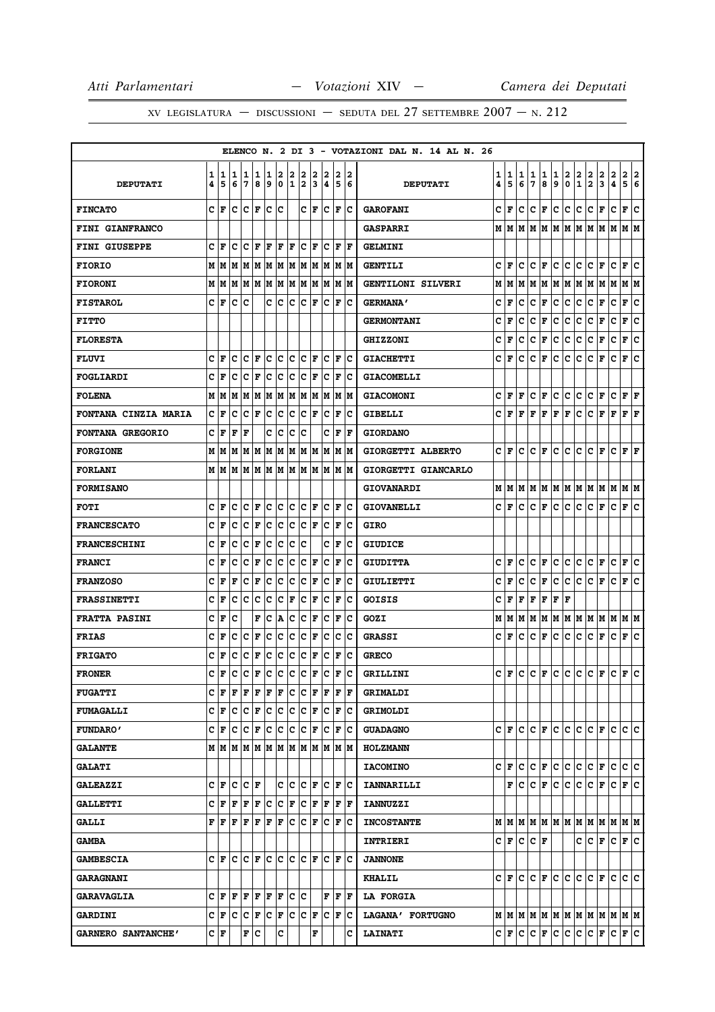|                             |   |                 |     |                        |     |                      |       |     |     |     |     |             |                      | ELENCO N. 2 DI 3 - VOTAZIONI DAL N. 14 AL N. 26 |   |           |     |               |                         |               |               |               |                                                                  |                                                                                                                                          |               |                                                 |    |
|-----------------------------|---|-----------------|-----|------------------------|-----|----------------------|-------|-----|-----|-----|-----|-------------|----------------------|-------------------------------------------------|---|-----------|-----|---------------|-------------------------|---------------|---------------|---------------|------------------------------------------------------------------|------------------------------------------------------------------------------------------------------------------------------------------|---------------|-------------------------------------------------|----|
|                             | 1 | 1               | 1   | 1                      | 1   | 1                    | 2     | 2   | 2   | 2   | 2   | 2           | 2                    |                                                 | 1 | 1         | 1   |               | 1                       |               |               |               |                                                                  |                                                                                                                                          |               |                                                 |    |
| <b>DEPUTATI</b>             | 4 | 5               | 6   | 7                      | 8   | 9                    | 0     | 1   | 2   | 3   | 14. | 5           | 6                    | <b>DEPUTATI</b>                                 | 4 | 5         | 6   | $\frac{1}{7}$ | $\overline{\mathbf{8}}$ | $\frac{1}{9}$ | $\frac{2}{0}$ | $\frac{2}{1}$ | $\left  \begin{smallmatrix} 2 \ 2 \ 2 \end{smallmatrix} \right $ | $\frac{2}{3}$                                                                                                                            | $\frac{2}{4}$ | $\begin{array}{c c} 2 & 2 \\ 5 & 6 \end{array}$ |    |
| <b>FINCATO</b>              | C | F               | c   | Iс                     | l F | lc.                  | ١c    |     | c   | l F | lc  | l F         | Ιc                   | <b>GAROFANI</b>                                 | c | F         | c   | c             | ΙF                      | c             | lc.           | c             | c                                                                | F                                                                                                                                        | c             | F                                               | c  |
| <b>FINI GIANFRANCO</b>      |   |                 |     |                        |     |                      |       |     |     |     |     |             |                      | <b>GASPARRI</b>                                 |   |           |     |               |                         |               |               |               |                                                                  |                                                                                                                                          |               |                                                 |    |
| <b>FINI GIUSEPPE</b>        | c | F               | c   | c                      | F   | F                    | F     | ΙF  | c   | F   | c   | F           | ΙF                   | <b>GELMINI</b>                                  |   |           |     |               |                         |               |               |               |                                                                  |                                                                                                                                          |               |                                                 |    |
| <b>FIORIO</b>               | M | M               | lМ  | M                      | M   | M                    | M     | MM  |     | M   | M   |             | M  M                 | <b>GENTILI</b>                                  | c | lF.       | c   |               | C F                     | c             | ∣c∶           | lc.           | $ {\bf C}  {\bf F} $                                             |                                                                                                                                          | c             | F C                                             |    |
| <b>FIORONI</b>              | M | M               | M   | M                      | M   | M                    | M     | M   | M   | lм  | lм  | lм          | M                    | GENTILONI SILVERI                               | М | M         | M   | lм            | lм                      |               | M M M M       |               |                                                                  | MM                                                                                                                                       |               | M M                                             |    |
| <b>FISTAROL</b>             | C | F               | C   | c                      |     | c                    | c     | lc. | lc  | F   | lc. | l F         | Ιc                   | <b>GERMANA'</b>                                 | c | F         | c   | c             | F                       | c             | c             | c             | c                                                                | F                                                                                                                                        | c             | F                                               | c  |
| <b>FITTO</b>                |   |                 |     |                        |     |                      |       |     |     |     |     |             |                      | <b>GERMONTANI</b>                               | c | F         | c   | с             | F                       | с             | c             | с             | с                                                                | г                                                                                                                                        | c             | F                                               | ١c |
| <b>FLORESTA</b>             |   |                 |     |                        |     |                      |       |     |     |     |     |             |                      | <b>GHIZZONI</b>                                 | с | F         | c   | c             | F                       | c             | c             | c             | c                                                                | F                                                                                                                                        | c             | F                                               | c  |
| <b>FLUVI</b>                | c | lF              | c   | с                      | F   | lc.                  | lc.   | lc. | Iс  | l F | lc. | ΙF          | Ιc                   | <b>GIACHETTI</b>                                | c | F         | с   |               | C F                     | c             | lc.           | c             | $ {\bf C}  {\bf F} $                                             |                                                                                                                                          | c             | F C                                             |    |
| <b>FOGLIARDI</b>            | c | F               | c   | c                      | F   | c                    | c     | c   | c   | F   | c   | F           | Iс                   | <b>GIACOMELLI</b>                               |   |           |     |               |                         |               |               |               |                                                                  |                                                                                                                                          |               |                                                 |    |
| <b>FOLENA</b>               | M | M               | M   | M                      | M   | M                    | M     | M   | M   | М   | M   | М           | lМ                   | <b>GIACOMONI</b>                                | c | F         | F   | c             | F                       | c             | lc.           | c             | c.                                                               | F                                                                                                                                        | c             | $ {\bf F}  {\bf F} $                            |    |
| <b>FONTANA CINZIA MARIA</b> | c | F               | c   | C                      | F   | C                    | c     | c   | c   | F   | c   | $\mathbf F$ | c                    | <b>GIBELLI</b>                                  | c | F         | F   | F             | F                       | F F           |               | c             | c                                                                | F                                                                                                                                        | F             | $ {\bf F}  {\bf F} $                            |    |
| <b>FONTANA GREGORIO</b>     | C | F               | F   | F                      |     | c                    | c     | C   | c   |     | C   | F           | F                    | <b>GIORDANO</b>                                 |   |           |     |               |                         |               |               |               |                                                                  |                                                                                                                                          |               |                                                 |    |
| <b>FORGIONE</b>             | М | M               | M   | M M                    |     | M                    | M     | M   | M   | lм  | M   | M           | lм                   | GIORGETTI ALBERTO                               | c | F         | c   |               | C F                     | c             | lc.           | C             | IC IF                                                            |                                                                                                                                          | c             | $ {\bf F}  {\bf F} $                            |    |
| <b>FORLANI</b>              |   | МM              | М   | M                      | M   | M                    | M     | M   | M   | M   | M   | M           | lМ                   | GIORGETTI GIANCARLO                             |   |           |     |               |                         |               |               |               |                                                                  |                                                                                                                                          |               |                                                 |    |
| <b>FORMISANO</b>            |   |                 |     |                        |     |                      |       |     |     |     |     |             |                      | <b>GIOVANARDI</b>                               | М | M         | M   |               | M  M                    |               |               |               |                                                                  | M  M  M  M  M  M                                                                                                                         |               | M M                                             |    |
| <b>FOTI</b>                 | c | F               | c   | c                      | F   | c                    | c     | c   | с   | F   | Ιc  | F           | Ιc                   | <b>GIOVANELLI</b>                               | c | F         | c   | c             | F                       | c             | c             | с             | c                                                                | F                                                                                                                                        | c             | F                                               | c  |
| <b>FRANCESCATO</b>          | c | F               | c   | c                      | F   | c                    | ∣c    | c   | c   | l F | c   | F           | Ιc                   | <b>GIRO</b>                                     |   |           |     |               |                         |               |               |               |                                                                  |                                                                                                                                          |               |                                                 |    |
| <b>FRANCESCHINI</b>         | C | F               | C   | C                      | F   | c                    | C     | C   | lc  |     | c   | F           | Ιc                   | <b>GIUDICE</b>                                  |   |           |     |               |                         |               |               |               |                                                                  |                                                                                                                                          |               |                                                 |    |
| <b>FRANCI</b>               | C | F               | c   | c                      | F   | c                    | c     | c   | с   | F   | c   | F           | ١c                   | <b>GIUDITTA</b>                                 | c | F         | c   | c             | F                       | c             | c             | c             | C F                                                              |                                                                                                                                          | c             | F                                               | c  |
| <b>FRANZOSO</b>             | c | F               | F   | c                      | F   | c                    | c     | c   | c   | F   | Ιc  | F           | Ιc                   | <b>GIULIETTI</b>                                | c | F         | c   | с             | F                       | c             | c             | c             | c                                                                | F                                                                                                                                        | c             | F C                                             |    |
| <b>FRASSINETTI</b>          | c | F               | c   | c                      | c   | c                    | c     | ΙF  | c   | F   | c   | F           | Iс                   | GOISIS                                          | c | F         | F   | F             | F                       | F             | F             |               |                                                                  |                                                                                                                                          |               |                                                 |    |
| <b>FRATTA PASINI</b>        | c | F               | C   |                        | F   | c                    | A     | c   | c   | F   | Ιc  | F           | Ιc                   | GOZI                                            | М | M         | M   | M             | M                       |               |               |               |                                                                  | M  M  M  M  M  M  M  M                                                                                                                   |               |                                                 |    |
| <b>FRIAS</b>                | c | F               | c   | c                      | F   | c                    | c     | c   | с   | F   | c   | c           | Ιc                   | <b>GRASSI</b>                                   | c | F         | c   | c             | F                       | с             | с             | с             | c                                                                | F                                                                                                                                        | с             | F                                               | c  |
| <b>FRIGATO</b>              | c | F               | c   | c                      | F   | c                    | c     | c   | c   | F   | c   | $\mathbf F$ | Ιc                   | <b>GRECO</b>                                    |   |           |     |               |                         |               |               |               |                                                                  |                                                                                                                                          |               |                                                 |    |
| <b>FRONER</b>               | c | F               | C   | c                      | F   | c                    | c     | c   | c   | F   | c   | $\mathbf F$ | lc.                  | <b>GRILLINI</b>                                 |   |           |     |               |                         |               |               |               |                                                                  | $C \vert \mathbf{F} \vert C \vert \mathbf{C} \vert \mathbf{F} \vert C \vert C \vert C \vert \mathbf{F} \vert C \vert \mathbf{F} \vert C$ |               |                                                 |    |
| <b>FUGATTI</b>              | c | F               | F   | F                      | F   | F                    | F     | lc. | Iс  | F   | lF  | F           | ١F                   | <b>GRIMALDI</b>                                 |   |           |     |               |                         |               |               |               |                                                                  |                                                                                                                                          |               |                                                 |    |
| <b>FUMAGALLI</b>            | c | F               | lc. | Iс                     | ΙF  | c c                  |       | c c |     | F   | Iс  |             | F C                  | <b>GRIMOLDI</b>                                 |   |           |     |               |                         |               |               |               |                                                                  |                                                                                                                                          |               |                                                 |    |
| <b>FUNDARO'</b>             | c | ١F              | c   | Iс                     | F   | IC.                  | c     | c   | c   | F   | Iс  | F           | Iс                   | <b>GUADAGNO</b>                                 |   | C IF.     | lc. |               | C F                     |               |               |               |                                                                  |                                                                                                                                          |               |                                                 |    |
| <b>GALANTE</b>              |   | MMMMMMMMMMMMMMM |     |                        |     |                      |       |     |     |     |     |             |                      | <b>HOLZMANN</b>                                 |   |           |     |               |                         |               |               |               |                                                                  |                                                                                                                                          |               |                                                 |    |
| <b>GALATI</b>               |   |                 |     |                        |     |                      |       |     |     |     |     |             |                      | <b>IACOMINO</b>                                 |   | C F       | c   |               | C F                     | c             | ∣c∶           | ∣c            | $ C $ F                                                          |                                                                                                                                          | c             | c c                                             |    |
| <b>GALEAZZI</b>             | c | F               | c   | $ {\bf C}\> {\bf F}\>$ |     |                      | C     | c   | ∣c  | l F | lc  |             | F C                  | IANNARILLI                                      |   |           |     |               |                         |               |               |               | F C C F C C C C F                                                |                                                                                                                                          | $ c _F c$     |                                                 |    |
| <b>GALLETTI</b>             | C | F               | lF. | F                      | F   | lc.                  | lc.   | F   | lc. | F   | lF. |             | F F                  | <b>IANNUZZI</b>                                 |   |           |     |               |                         |               |               |               |                                                                  |                                                                                                                                          |               |                                                 |    |
| <b>GALLI</b>                | F | F               | F   | F                      | F   | F                    | F     | Ιc  | Ιc  | F   | Ιc  |             | F C                  | <b>INCOSTANTE</b>                               |   |           |     |               |                         |               |               |               |                                                                  | MMMMMMMMMMMMMM                                                                                                                           |               |                                                 |    |
| <b>GAMBA</b>                |   |                 |     |                        |     |                      |       |     |     |     |     |             |                      | <b>INTRIERI</b>                                 |   | C F C C F |     |               |                         |               |               |               |                                                                  | C C F C F C                                                                                                                              |               |                                                 |    |
| <b>GAMBESCIA</b>            |   | C F             | ١c  | IC IF                  |     |                      | lc Ic | c c |     | lF. | lc. | lF.         | ΙC                   | <b>JANNONE</b>                                  |   |           |     |               |                         |               |               |               |                                                                  |                                                                                                                                          |               |                                                 |    |
| <b>GARAGNANI</b>            |   |                 |     |                        |     |                      |       |     |     |     |     |             |                      | <b>KHALIL</b>                                   |   |           |     |               |                         |               |               |               |                                                                  | C F C C F C C C F C C C C                                                                                                                |               |                                                 |    |
| <b>GARAVAGLIA</b>           | C | lF              | l F | F                      | F   | F                    | F     | lc. | Ιc  |     | F   |             | $ {\bf F}  {\bf F} $ | <b>LA FORGIA</b>                                |   |           |     |               |                         |               |               |               |                                                                  |                                                                                                                                          |               |                                                 |    |
| <b>GARDINI</b>              | c | F C             |     | $ {\bf C}\> {\bf F} $  |     | $ {\bf C}  {\bf F} $ |       | c   | ∣c  | F   | c   |             | $ {\bf F}  {\bf C} $ | LAGANA' FORTUGNO                                |   |           |     |               |                         |               |               |               |                                                                  | $M$   $M$   $M$   $M$   $M$   $M$   $M$   $M$   $M$   $M$   $M$   $M$                                                                    |               |                                                 |    |
| GARNERO SANTANCHE'          |   | сŀг             |     | F C                    |     |                      | C     |     |     | F   |     |             | c                    | <b>LAINATI</b>                                  |   | C F C C F |     |               |                         |               |               |               |                                                                  | c c c c F c F c                                                                                                                          |               |                                                 |    |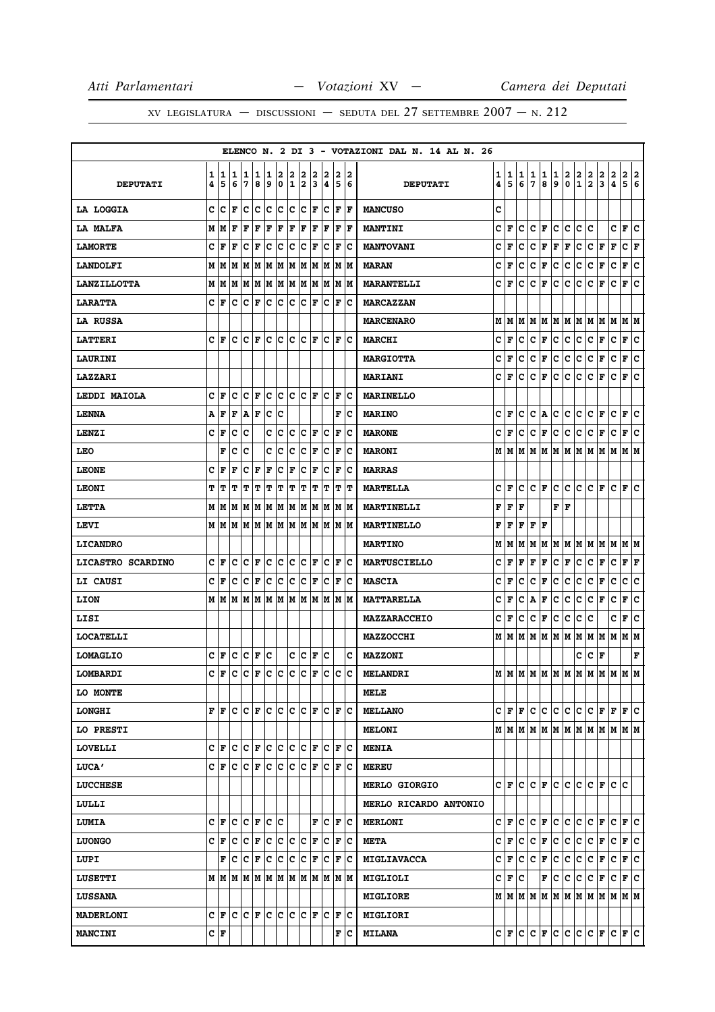|                     |        |        |        |               |                      |        |         |             |                    |         |                                                                                                                                                                          |   |                      | ELENCO N. 2 DI 3 - VOTAZIONI DAL N. 14 AL N. 26 |        |                               |        |                     |        |                   |                        |               |                                                                       |               |               |                                                 |     |
|---------------------|--------|--------|--------|---------------|----------------------|--------|---------|-------------|--------------------|---------|--------------------------------------------------------------------------------------------------------------------------------------------------------------------------|---|----------------------|-------------------------------------------------|--------|-------------------------------|--------|---------------------|--------|-------------------|------------------------|---------------|-----------------------------------------------------------------------|---------------|---------------|-------------------------------------------------|-----|
| <b>DEPUTATI</b>     | 1<br>4 | 1<br>5 | 1<br>6 | 1<br>7        | 1<br>8               | 1<br>9 | 2       | 2<br> 0 1 2 | 2                  | 2<br>13 | 2<br>14                                                                                                                                                                  | 2 | 2<br>56              | <b>DEPUTATI</b>                                 | 1<br>4 | 1<br>5                        | 1<br>6 | 1<br>$\overline{7}$ | 1<br>8 | $\mathbf{1}$<br>9 | $\frac{2}{0}$          | $\frac{2}{1}$ | $\frac{2}{2}$                                                         | $\frac{2}{3}$ | $\frac{2}{4}$ | $\begin{array}{c c} 2 & 2 \\ 5 & 6 \end{array}$ |     |
| <b>LA LOGGIA</b>    | c      | с      | F      | c             | lc.                  |        |         |             |                    |         | C C C F C F F F                                                                                                                                                          |   |                      | <b>MANCUSO</b>                                  | c      |                               |        |                     |        |                   |                        |               |                                                                       |               |               |                                                 |     |
| <b>LA MALFA</b>     |        | M   M  | F      | F             | $\mathbf{F}$         | F F    |         |             |                    |         | $\mathbf{F} \mathbf{F} \mathbf{F} \mathbf{F} \mathbf{F} \mathbf{F} \mathbf{F}$                                                                                           |   |                      | <b>MANTINI</b>                                  | c      | F                             | c      | c                   | F      | c                 | c                      | c c           |                                                                       |               |               | C F C                                           |     |
| <b>LAMORTE</b>      | c      | F      | F      | c             | F                    | c      | с       | IC.         | Iс                 | F       | c                                                                                                                                                                        | F | ΙC                   | <b>MANTOVANI</b>                                | с      | F                             | c      | с                   | F      | F                 | F                      | с             | с                                                                     | F             | F             | C F                                             |     |
| <b>LANDOLFI</b>     |        | MIM    | М      |               |                      |        |         |             |                    |         | M  M  M  M  M  M  M  M  M                                                                                                                                                |   |                      | <b>MARAN</b>                                    | c      | F                             | c      | c                   | F      | $\mathbf c$       | c                      | c             | c                                                                     | F             | c             | F C                                             |     |
| <b>LANZILLOTTA</b>  |        | МM     | M      |               |                      |        |         |             |                    |         | м м м м м м м м м                                                                                                                                                        |   |                      | <b>MARANTELLI</b>                               | c      | F                             | c      | c                   | F      | $\mathbf{C}$      | c.                     | c             | c                                                                     | F             | $\mathbf c$   | F C                                             |     |
| <b>LARATTA</b>      |        | CF     |        |               |                      |        |         |             |                    |         | C C F C C C F C F C                                                                                                                                                      |   |                      | <b>MARCAZZAN</b>                                |        |                               |        |                     |        |                   |                        |               |                                                                       |               |               |                                                 |     |
| <b>LA RUSSA</b>     |        |        |        |               |                      |        |         |             |                    |         |                                                                                                                                                                          |   |                      | <b>MARCENARO</b>                                |        |                               |        |                     |        |                   |                        |               | $M$   $M$   $M$   $M$   $M$   $M$   $M$   $M$   $M$   $M$   $M$   $M$ |               |               |                                                 |     |
| <b>LATTERI</b>      |        | CF     |        | C C F         |                      |        |         |             |                    |         |                                                                                                                                                                          |   |                      | <b>MARCHI</b>                                   | c      | F                             | с      | c                   | F      | c                 | c                      | c             | c                                                                     | F             | c             | F                                               | С   |
| <b>LAURINI</b>      |        |        |        |               |                      |        |         |             |                    |         |                                                                                                                                                                          |   |                      | <b>MARGIOTTA</b>                                | с      | F                             | с      | с                   | F      | с                 | c                      | с             | c                                                                     | F             | c             | F C                                             |     |
| <b>LAZZARI</b>      |        |        |        |               |                      |        |         |             |                    |         |                                                                                                                                                                          |   |                      | <b>MARIANI</b>                                  | c      | F                             | с      | c                   | F      | c                 | c                      | c             | с                                                                     | F             | c             | F                                               | lc. |
| <b>LEDDI MAIOLA</b> |        | CF     | c      |               | $ {\bf C}  {\bf F} $ |        |         |             |                    |         | C C C F C F C                                                                                                                                                            |   |                      | <b>MARINELLO</b>                                |        |                               |        |                     |        |                   |                        |               |                                                                       |               |               |                                                 |     |
| <b>LENNA</b>        | Α      | F      | F      | $A$ $F$       |                      | c c    |         |             |                    |         |                                                                                                                                                                          |   | F C                  | <b>MARINO</b>                                   | c      | F                             | c      | c                   | Α      | $\mathbf{C}$      | c                      | c             | C F                                                                   |               | c             | F                                               | c   |
| LENZI               |        | CF     | с      | c             |                      |        | c c     |             |                    |         | C C F C F C                                                                                                                                                              |   |                      | <b>MARONE</b>                                   | c      | F                             | c      | c                   | F      | c                 | c                      | c             | c                                                                     | F             | $\mathbf{C}$  | F C                                             |     |
| <b>LEO</b>          |        | F      | c      | c             |                      |        | c c     |             | C C F              |         | C F                                                                                                                                                                      |   | ∣c                   | <b>MARONI</b>                                   |        | мIм                           |        |                     |        |                   |                        |               |                                                                       |               |               |                                                 |     |
| <b>LEONE</b>        | c      | F      | F      | с             | F                    | F      | c       | F           | $ c _{\mathbf{F}}$ |         | Ιc                                                                                                                                                                       | F | Ιc                   | <b>MARRAS</b>                                   |        |                               |        |                     |        |                   |                        |               |                                                                       |               |               |                                                 |     |
| <b>LEONI</b>        |        | TГ     | т      | т             | т                    |        | $T$ $T$ |             |                    |         | $ T T $ $T$                                                                                                                                                              |   | T  T                 | <b>MARTELLA</b>                                 | c      | F                             | c      |                     | C F    | c                 |                        |               | C C C F                                                               |               |               | C F C                                           |     |
| <b>LETTA</b>        |        | M   M  | M      | M             |                      |        |         |             |                    |         | M  M  M  M  M  M  M  M  M                                                                                                                                                |   |                      | MARTINELLI                                      | F      | F                             | F      |                     |        |                   | ${\bf F} \mid {\bf F}$ |               |                                                                       |               |               |                                                 |     |
| LEVI                |        |        |        |               |                      |        |         |             |                    |         | $M$   $M$   $M$   $M$   $M$   $M$   $M$   $M$   $M$   $M$   $M$   $M$                                                                                                    |   |                      | <b>MARTINELLO</b>                               | F      | F                             | F      |                     | F F    |                   |                        |               |                                                                       |               |               |                                                 |     |
| <b>LICANDRO</b>     |        |        |        |               |                      |        |         |             |                    |         |                                                                                                                                                                          |   |                      | <b>MARTINO</b>                                  | М      | М                             | М      | М                   | М      |                   |                        |               | $M$ $M$ $M$ $M$ $M$ $M$ $M$ $M$                                       |               |               |                                                 |     |
| LICASTRO SCARDINO   |        | CF     | c      |               | C F                  |        | c c     |             | $ C C $ F          |         |                                                                                                                                                                          |   | $ C $ $\mathbf{F} C$ | <b>MARTUSCIELLO</b>                             | с      | F                             | F      | F                   | F      | c                 | F                      | c             | c                                                                     | F             | c             | F F                                             |     |
| LI CAUSI            |        | CF     |        | C C F         |                      |        |         |             |                    |         | C C C F C F C                                                                                                                                                            |   |                      | <b>MASCIA</b>                                   | c      | F                             | с      | с                   | F      | с                 | c                      | c             | c                                                                     | F             | c             | c c                                             |     |
| <b>LION</b>         |        | MIM    |        |               |                      |        |         |             |                    |         | M  M  M  M  M  M  M  M  M  M  M                                                                                                                                          |   |                      | <b>MATTARELLA</b>                               | с      | F                             | с      | А                   | F      | с                 | c                      | c             | c                                                                     | F             | c             | F                                               | c   |
| LISI                |        |        |        |               |                      |        |         |             |                    |         |                                                                                                                                                                          |   |                      | <b>MAZZARACCHIO</b>                             | с      | F                             | с      | c                   | F      | c                 | c                      | с             | с                                                                     |               | c             | Г                                               | lc. |
| <b>LOCATELLI</b>    |        |        |        |               |                      |        |         |             |                    |         |                                                                                                                                                                          |   |                      | <b>MAZZOCCHI</b>                                |        | мIм                           | М      |                     |        |                   |                        |               | $M$ $M$ $M$ $M$ $M$ $M$ $M$ $M$ $M$ $M$                               |               |               |                                                 |     |
| <b>LOMAGLIO</b>     |        |        |        | C F C C F C   |                      |        |         |             |                    |         | $ c c _F c$                                                                                                                                                              |   | Ιc                   | <b>MAZZONI</b>                                  |        |                               |        |                     |        |                   |                        |               | C C F                                                                 |               |               |                                                 | F   |
| <b>LOMBARDI</b>     |        |        |        |               |                      |        |         |             |                    |         | $C \vert \mathbf{F} \vert C \vert \mathbf{C} \vert \mathbf{F} \vert C \vert C \vert \mathbf{C} \vert \mathbf{F} \vert C \vert \mathbf{C} \vert C \vert \mathbf{C} \vert$ |   |                      | <b>MELANDRI</b>                                 |        |                               |        |                     |        |                   |                        |               | м м м м м м м м м м м м                                               |               |               |                                                 |     |
| LO MONTE            |        |        |        |               |                      |        |         |             |                    |         |                                                                                                                                                                          |   |                      | <b>MELE</b>                                     |        |                               |        |                     |        |                   |                        |               |                                                                       |               |               |                                                 |     |
| <b>LONGHI</b>       |        |        |        |               |                      |        |         |             |                    |         | ${\bf F}$ $\bf F$ $\bf C$ $\bf C$ $\bf F$ $\bf C$ $\bf C$ $\bf C$ $\bf C$ $\bf F$ $\bf C$ $\bf F$ $\bf C$                                                                |   |                      | <b>MELLANO</b>                                  |        | $C$ $\mathbf{F}$ $\mathbf{F}$ |        |                     |        |                   |                        |               | C  C  C  C  C  C  F  F  F  C                                          |               |               |                                                 |     |
| LO PRESTI           |        |        |        |               |                      |        |         |             |                    |         |                                                                                                                                                                          |   |                      | <b>MELONI</b>                                   |        |                               |        |                     |        |                   |                        |               | $M$   $M$   $M$   $M$   $M$   $M$   $M$   $M$   $M$   $M$   $M$   $M$ |               |               |                                                 |     |
| <b>LOVELLI</b>      |        |        |        |               |                      |        |         |             |                    |         | C  F  C  C  F  C  C  C  C  F  C  F  C                                                                                                                                    |   |                      | <b>MENIA</b>                                    |        |                               |        |                     |        |                   |                        |               |                                                                       |               |               |                                                 |     |
| <b>LUCA'</b>        |        |        |        |               |                      |        |         |             |                    |         | C F C C F C C C F C F C F C                                                                                                                                              |   |                      | <b>MEREU</b>                                    |        |                               |        |                     |        |                   |                        |               |                                                                       |               |               |                                                 |     |
| <b>LUCCHESE</b>     |        |        |        |               |                      |        |         |             |                    |         |                                                                                                                                                                          |   |                      | <b>MERLO GIORGIO</b>                            |        | C F                           | c      |                     | C F    | c                 | c c                    |               |                                                                       | $ c _F c c $  |               |                                                 |     |
| LULLI               |        |        |        |               |                      |        |         |             |                    |         |                                                                                                                                                                          |   |                      | MERLO RICARDO ANTONIO                           |        |                               |        |                     |        |                   |                        |               |                                                                       |               |               |                                                 |     |
| <b>LUMIA</b>        |        |        |        | C F C C F C C |                      |        |         |             |                    |         | F C F C                                                                                                                                                                  |   |                      | <b>MERLONI</b>                                  |        | C F                           | c      | c                   | F      | c                 | c                      | c             | CF                                                                    |               |               | C F C                                           |     |
| <b>LUONGO</b>       |        |        |        |               |                      |        |         |             |                    |         | C F C C F C C C C F C F C                                                                                                                                                |   |                      | <b>META</b>                                     |        | C F                           | C      |                     | C F    |                   | C C                    | $\mathbf{C}$  | C F                                                                   |               |               | C F C                                           |     |
| LUPI                |        |        |        |               |                      |        |         |             |                    |         | F  C  C  F  C  C  C  C  F  C  F  C                                                                                                                                       |   |                      | <b>MIGLIAVACCA</b>                              |        | CF                            | с      | с                   | F      | с                 | c                      | с             | с                                                                     | F             | с             | F C                                             |     |
| <b>LUSETTI</b>      |        |        |        |               |                      |        |         |             |                    |         |                                                                                                                                                                          |   |                      | MIGLIOLI                                        |        | C F C                         |        |                     | F      | c                 | c                      | c             | $\mathbf{C}$                                                          | F             |               | C F C                                           |     |
| <b>LUSSANA</b>      |        |        |        |               |                      |        |         |             |                    |         |                                                                                                                                                                          |   |                      | <b>MIGLIORE</b>                                 |        | MM                            |        |                     |        |                   |                        |               |                                                                       |               |               |                                                 |     |
| <b>MADERLONI</b>    |        |        |        |               |                      |        |         |             |                    |         | C F C C F C C C F C F C F C                                                                                                                                              |   |                      | <b>MIGLIORI</b>                                 |        |                               |        |                     |        |                   |                        |               |                                                                       |               |               |                                                 |     |
| <b>MANCINI</b>      |        | CF     |        |               |                      |        |         |             |                    |         |                                                                                                                                                                          |   | F C                  | <b>MILANA</b>                                   |        |                               |        |                     |        |                   |                        |               | C F C C F C C C C F C F C                                             |               |               |                                                 |     |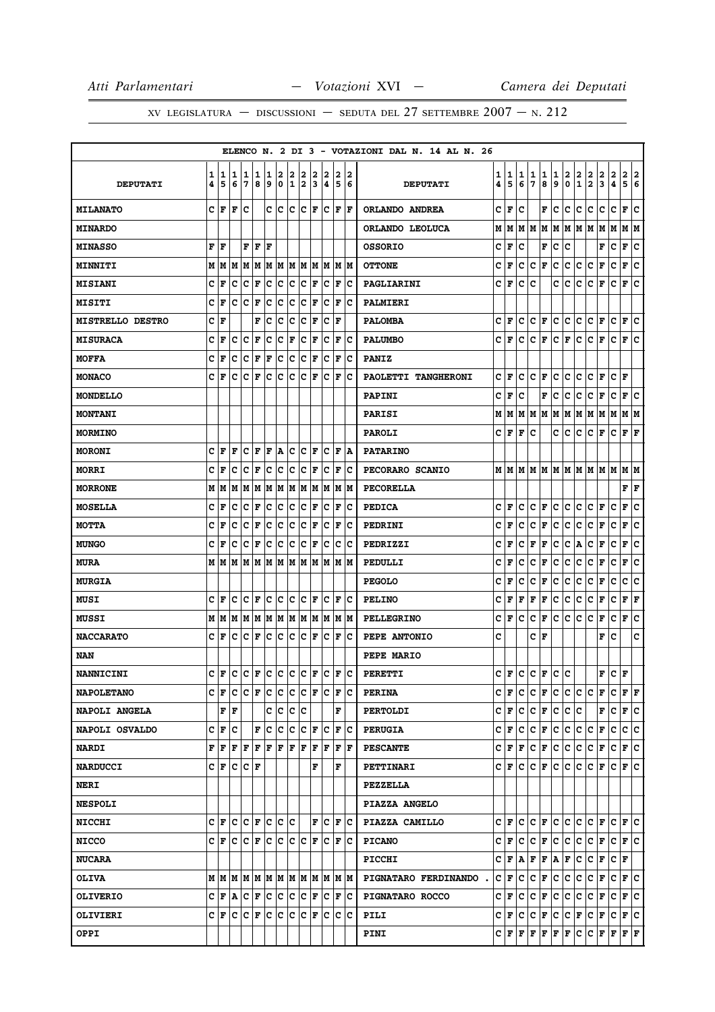|                         |        |                                                   |                                   |                      |        |        |                  |           |        |         |        |             |                                                                       | ELENCO N. 2 DI 3 - VOTAZIONI DAL N. 14 AL N. 26 |        |                            |        |        |           |                |        |                              |                                                               |        |                  |                                                                                                                                                              |
|-------------------------|--------|---------------------------------------------------|-----------------------------------|----------------------|--------|--------|------------------|-----------|--------|---------|--------|-------------|-----------------------------------------------------------------------|-------------------------------------------------|--------|----------------------------|--------|--------|-----------|----------------|--------|------------------------------|---------------------------------------------------------------|--------|------------------|--------------------------------------------------------------------------------------------------------------------------------------------------------------|
| <b>DEPUTATI</b>         | 1<br>4 | 1<br>5                                            | 11<br>6                           | 1<br>7               | 1<br>8 | 1<br>9 | 2<br>$\mathbf 0$ | 2<br>1    | 2<br>2 | 2<br>13 | 2<br>4 | 2<br>5      | 2<br>6                                                                | <b>DEPUTATI</b>                                 | 1<br>4 | 1<br>5                     | 1<br>6 | 1<br>7 | 1<br>8    | 1<br>9         | 2<br>0 | $\mathbf{2}$<br>$\mathbf{1}$ | $\frac{2}{2}$                                                 | 2<br>3 | $\mathbf 2$<br>4 | $\mathbf{2}$<br> 2<br>5<br>6                                                                                                                                 |
| <b>MILANATO</b>         |        | CF                                                | l F                               | lc                   |        |        | c c              | $ C C $ F |        |         | lc.    |             | F  F                                                                  | ORLANDO ANDREA                                  | c      | F                          | c      |        | F         | c              | c      | c                            | c                                                             | c      | c                | F<br>lc.                                                                                                                                                     |
| <b>MINARDO</b>          |        |                                                   |                                   |                      |        |        |                  |           |        |         |        |             |                                                                       | ORLANDO LEOLUCA                                 | М      | М                          |        |        | M   M   M |                |        |                              | M  M  M  M  M  M                                              |        |                  | M  M                                                                                                                                                         |
| <b>MINASSO</b>          | F      | l F                                               |                                   | F                    | ΙF     | F      |                  |           |        |         |        |             |                                                                       | <b>OSSORIO</b>                                  | с      | F                          | c      |        | F         | c              | c      |                              |                                                               | F      | c                | F<br>c                                                                                                                                                       |
| <b>MINNITI</b>          |        |                                                   |                                   |                      |        |        |                  |           |        |         |        |             | $M$   $M$   $M$   $M$   $M$   $M$   $M$   $M$   $M$   $M$   $M$   $M$ | <b>OTTONE</b>                                   | с      | F                          | c      | с      | г         | с              | c.     | C                            | c                                                             | F      | c                | F C                                                                                                                                                          |
| <b>MISIANI</b>          | c      | F                                                 | c                                 | c                    | F      | Ιc     | c                | Iс        | Iс     | F       | Iс     | F           | ΙC                                                                    | PAGLIARINI                                      | c      | F                          | с      | c      |           | c              | с      | с                            | с                                                             | F      | с                | F<br>c                                                                                                                                                       |
| <b>MISITI</b>           | c      | F                                                 | c                                 | Iс                   | F      | Iс     | c                | Iс        | c      | F       | c      | F           | Ιc                                                                    | PALMIERI                                        |        |                            |        |        |           |                |        |                              |                                                               |        |                  |                                                                                                                                                              |
| <b>MISTRELLO DESTRO</b> | c      | F                                                 |                                   |                      | F      | c      | C                | c         | c      | l F     | c      | l F         |                                                                       | <b>PALOMBA</b>                                  | c      | F                          | c      | c      | F         | c              | c.     | c                            | c                                                             | г      | c                | c<br>F                                                                                                                                                       |
| <b>MISURACA</b>         | c      | F                                                 | c                                 | c                    | F      | c      | c                | F         | c      | F       | lc.    | F           | Ιc                                                                    | <b>PALUMBO</b>                                  | c      | F                          | c      | c      | F         | c              | F      | c                            | C F                                                           |        | c                | F<br> c                                                                                                                                                      |
| <b>MOFFA</b>            | c      | F                                                 | Iс                                | c                    | F      | F      | c                | c         | c      | F       | Ιc     | F           | Ιc                                                                    | <b>PANIZ</b>                                    |        |                            |        |        |           |                |        |                              |                                                               |        |                  |                                                                                                                                                              |
| <b>MONACO</b>           | C      | l F                                               | с                                 | Iс                   | ΙF     | Ιc     | Iс               | lc        | Iс     | F       | Ιc     | F           | Ιc                                                                    | PAOLETTI TANGHERONI                             | c      | F                          | c      | c      | F         | c              | с      | с                            | с                                                             | F      | c                | F                                                                                                                                                            |
| <b>MONDELLO</b>         |        |                                                   |                                   |                      |        |        |                  |           |        |         |        |             |                                                                       | <b>PAPINI</b>                                   | с      | F                          | c      |        | F         | с              | ∣c.    | c                            | C F                                                           |        |                  | C F C                                                                                                                                                        |
| <b>MONTANI</b>          |        |                                                   |                                   |                      |        |        |                  |           |        |         |        |             |                                                                       | <b>PARISI</b>                                   | М      | М                          | М      | М      | M         | М              | M      | М                            | M                                                             | М      | M                | M   M                                                                                                                                                        |
| <b>MORMINO</b>          |        |                                                   |                                   |                      |        |        |                  |           |        |         |        |             |                                                                       | <b>PAROLI</b>                                   | c      | F                          | F      | c      |           | с              | c      | c                            | c                                                             | г      | c                | $ {\bf F}  {\bf F} $                                                                                                                                         |
| <b>MORONI</b>           | c      | l F                                               | l F                               | c                    | F      | F      | ١A               | Ιc        | ∣c     | F       | Iс     | F           | ١A                                                                    | <b>PATARINO</b>                                 |        |                            |        |        |           |                |        |                              |                                                               |        |                  |                                                                                                                                                              |
| <b>MORRI</b>            | c      | F                                                 | c                                 | c                    | F      | Ιc     | ΙC               | Ιc        | Iс     | F       | Ιc     | F           | ΙC                                                                    | PECORARO SCANIO                                 |        | МW                         | м      | M      | м         | M              |        |                              | M   M   M   M                                                 |        |                  | MM                                                                                                                                                           |
| <b>MORRONE</b>          |        | M   M                                             |                                   |                      |        |        |                  |           |        |         |        |             | M  M  M  M  M  M  M  M  M  M  M                                       | <b>PECORELLA</b>                                |        |                            |        |        |           |                |        |                              |                                                               |        |                  | F F                                                                                                                                                          |
| <b>MOSELLA</b>          | c      | l F                                               | c                                 | Iс                   | F      | Iс     | c                | c         | Iс     | F       | Ιc     | F           | Ιc                                                                    | <b>PEDICA</b>                                   | c      | F                          | с      | c      | F         | с              | с      | с                            | с                                                             | F      | c                | F<br>c                                                                                                                                                       |
| МОТТА                   | c      | F                                                 | c                                 | Iс                   | F      | c      | Iс               | c c       |        | F       | Iс     | F           | Ιc                                                                    | <b>PEDRINI</b>                                  | с      | F                          | с      | с      | г         | с              | c.     | c                            | c.                                                            | F      | c                | ١c<br>Г                                                                                                                                                      |
| <b>MUNGO</b>            | c      | F                                                 | c                                 | с                    | F      | Iс     | c                | Iс        | c      | F       | Ιc     | c           | Ιc                                                                    | PEDRIZZI                                        | с      | F                          | с      | F      | F         | с              | c      | Α                            | с                                                             | F      | с                | F<br>c                                                                                                                                                       |
| <b>MURA</b>             |        | M   M                                             | M  M  M  M  M  M  M  M  M  M  M   |                      |        |        |                  |           |        |         |        |             |                                                                       | PEDULLI                                         | c      | F                          | с      | С      | F         | с              | c      | c                            | c                                                             | г      | с                | F<br>∣c                                                                                                                                                      |
| <b>MURGIA</b>           |        |                                                   |                                   |                      |        |        |                  |           |        |         |        |             |                                                                       | <b>PEGOLO</b>                                   | c      | F                          | c      | с      | F         | c              | c      | c                            | c                                                             | F      | c                | c<br> c                                                                                                                                                      |
| <b>MUSI</b>             | c      | l F                                               | с                                 | c                    | F      | Ιc     | ΙC               | lc.       | Iс     | F       | Iс     | F           | ١c                                                                    | <b>PELINO</b>                                   | с      | F                          | F      | F      | F         | c              | c      | c                            | с                                                             | F      | c                | F<br>F                                                                                                                                                       |
| MUSSI                   |        |                                                   |                                   |                      |        |        |                  |           |        |         |        |             |                                                                       | <b>PELLEGRINO</b>                               | c      | F                          | c      | c      | г         | c              | c      | c                            | lc.                                                           | г      | c                | F<br>∣c                                                                                                                                                      |
| <b>NACCARATO</b>        |        | C F                                               | c                                 | Ιc                   | F      | c      | IC.              | c         | c      | F       | Iс     | ١F          | ΙC                                                                    | PEPE ANTONIO                                    | c      |                            |        | C F    |           |                |        |                              |                                                               | F      | c                | c                                                                                                                                                            |
| NAN                     |        |                                                   |                                   |                      |        |        |                  |           |        |         |        |             |                                                                       | PEPE MARIO                                      |        |                            |        |        |           |                |        |                              |                                                               |        |                  |                                                                                                                                                              |
| <b>NANNICINI</b>        |        | CF                                                | $ c c _F c c c c _F c _F c$       |                      |        |        |                  |           |        |         |        |             |                                                                       | <b>PERETTI</b>                                  | c      | F                          | c      | c      | F         | c              | c      |                              |                                                               | F      | c<br>l F         |                                                                                                                                                              |
| <b>NAPOLETANO</b>       |        | CF                                                | lc.                               | $ {\bf C}  {\bf F} $ |        | c c    |                  | C C F C   |        |         |        |             | F C                                                                   | <b>PERINA</b>                                   | c l    | F                          | c      |        | C F       |                |        |                              | $ {\mathbf{C}}\, {\mathbf{C}}\, {\mathbf{C}}\, {\mathbf{F}} $ |        |                  | C F F                                                                                                                                                        |
| <b>NAPOLI ANGELA</b>    |        | $ {\bf F}  {\bf F} $                              |                                   |                      |        | c      | c                | c c       |        |         |        | $\mathbf F$ |                                                                       | <b>PERTOLDI</b>                                 |        | C F                        | c      |        |           | $ c _F  c c c$ |        |                              |                                                               | F      |                  | $ c _F c$                                                                                                                                                    |
| NAPOLI OSVALDO          | с      | F                                                 | Ιc                                |                      | F      | Ιc     | ΙC               | Ιc        | Iс     | F       | Iс     | F           | ΙC                                                                    | <b>PERUGIA</b>                                  | c l    | F                          | с      | с      | Г         | с              | c      | c                            | C F                                                           |        | c                | c c                                                                                                                                                          |
| <b>NARDI</b>            |        | FF                                                | F   F   F   F   F   F             |                      |        |        |                  |           |        | F       | lF.    |             | F  F                                                                  | <b>PESCANTE</b>                                 |        | C F F                      |        |        | C F       |                |        |                              | c c c c F                                                     |        |                  | $ c _F c$                                                                                                                                                    |
| <b>NARDUCCI</b>         |        | CIF                                               | $ {\mathbf C}\, {\mathbf C}\, $ F |                      |        |        |                  |           |        | F       |        | F           |                                                                       | <b>PETTINARI</b>                                |        | C IF.                      | с      |        | C F       |                | c c c  |                              | $ {\bf C}  {\bf F} $                                          |        |                  | C F C                                                                                                                                                        |
| <b>NERI</b>             |        |                                                   |                                   |                      |        |        |                  |           |        |         |        |             |                                                                       | <b>PEZZELLA</b>                                 |        |                            |        |        |           |                |        |                              |                                                               |        |                  |                                                                                                                                                              |
| <b>NESPOLI</b>          |        |                                                   |                                   |                      |        |        |                  |           |        |         |        |             |                                                                       | PIAZZA ANGELO                                   |        |                            |        |        |           |                |        |                              |                                                               |        |                  |                                                                                                                                                              |
| <b>NICCHI</b>           |        | C F C C F C C C                                   |                                   |                      |        |        |                  |           |        |         |        |             | F C F C                                                               | PIAZZA CAMILLO                                  |        | CFI                        |        |        |           |                |        |                              |                                                               |        |                  | $ c c _F c c c c _F c _F c _F$                                                                                                                               |
| <b>NICCO</b>            |        | C   F   C   C   F   C   C   C   C   F   C   F   C |                                   |                      |        |        |                  |           |        |         |        |             |                                                                       | <b>PICANO</b>                                   |        | C F                        | c      |        | C F       |                |        |                              |                                                               |        |                  | C  C  C  C  F  C  F  C                                                                                                                                       |
| <b>NUCARA</b>           |        |                                                   |                                   |                      |        |        |                  |           |        |         |        |             |                                                                       | PICCHI                                          |        | C F                        | A      |        |           |                |        |                              | F F A F C C F                                                 |        | C F              |                                                                                                                                                              |
| <b>OLIVA</b>            |        |                                                   |                                   |                      |        |        |                  |           |        |         |        |             | $M$   $M$   $M$   $M$   $M$   $M$   $M$   $M$   $M$   $M$   $M$   $M$ | PIGNATARO FERDINANDO.                           |        | CF                         | c      |        | C F       |                |        |                              | C C C F                                                       |        |                  | $ c _F c$                                                                                                                                                    |
| <b>OLIVERIO</b>         |        | CF                                                | A C F C C C F C F C               |                      |        |        |                  |           |        |         |        |             |                                                                       | PIGNATARO ROCCO                                 |        | C∣F                        | с      |        | C F       |                |        |                              | C C C F                                                       |        |                  | C F C                                                                                                                                                        |
| <b>OLIVIERI</b>         |        | C F C C F C C C C F C                             |                                   |                      |        |        |                  |           |        |         |        |             | c c                                                                   | PILI                                            |        | $C \vert \mathbf{F} \vert$ | с      |        | C F       |                | C C F  |                              | $ {\bf C}  {\bf F} $                                          |        |                  | C F C                                                                                                                                                        |
| <b>OPPI</b>             |        |                                                   |                                   |                      |        |        |                  |           |        |         |        |             |                                                                       | PINI                                            |        |                            |        |        |           |                |        |                              |                                                               |        |                  | $C \left  F \left  F \left  F \left  F \right. \right  F \left  F \right. \right  C \left  C \left  F \left  F \right. \right  F \left  F \right. \right  F$ |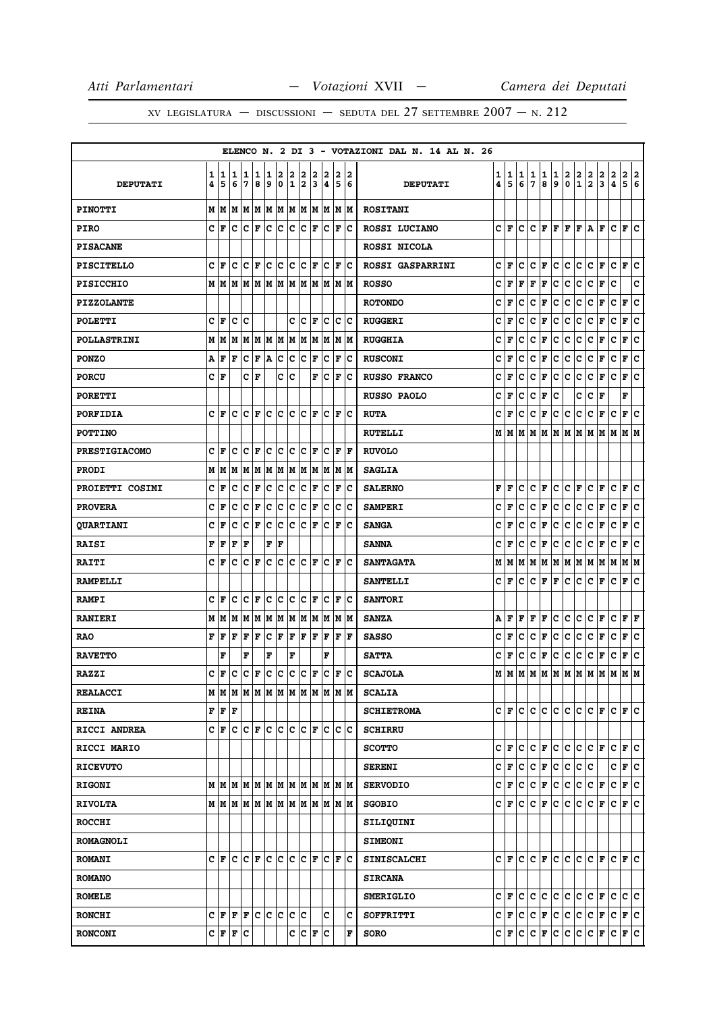|                      |        |        |                           |                      |                      |        |        |        |                |        |                                 |        |                      | ELENCO N. 2 DI 3 - VOTAZIONI DAL N. 14 AL N. 26 |        |               |        |               |                       |               |                |               |                                                                              |               |               |                                                 |     |
|----------------------|--------|--------|---------------------------|----------------------|----------------------|--------|--------|--------|----------------|--------|---------------------------------|--------|----------------------|-------------------------------------------------|--------|---------------|--------|---------------|-----------------------|---------------|----------------|---------------|------------------------------------------------------------------------------|---------------|---------------|-------------------------------------------------|-----|
| <b>DEPUTATI</b>      | 1<br>4 | 1<br>5 | 1<br>6                    | 1<br>7               | 1<br>8               | 1<br>9 | 2<br>0 | 2<br>1 | 2<br>2         | 2<br>3 | 2<br>14.                        | 2<br>5 | 2<br>6               | <b>DEPUTATI</b>                                 | 1<br>4 | $\frac{1}{5}$ | 1<br>6 | $\frac{1}{7}$ | $\frac{1}{8}$         | $\frac{1}{9}$ | $\frac{2}{0}$  | $\frac{2}{1}$ | $\frac{2}{2}$                                                                | $\frac{2}{3}$ | $\frac{2}{4}$ | $\begin{array}{c c} 2 & 2 \\ 5 & 6 \end{array}$ |     |
|                      |        |        |                           |                      |                      |        |        |        |                |        |                                 |        |                      |                                                 |        |               |        |               |                       |               |                |               |                                                                              |               |               |                                                 |     |
| <b>PINOTTI</b>       |        |        |                           |                      |                      |        |        |        |                |        |                                 |        |                      | <b>ROSITANI</b>                                 |        |               |        |               |                       |               |                |               |                                                                              |               |               |                                                 |     |
| <b>PIRO</b>          |        | CF     | lc.                       | $ {\bf C}  {\bf F} $ |                      | c c    |        |        | $ c c _F$      |        |                                 |        | $ C $ $\mathbf{F} C$ | ROSSI LUCIANO                                   |        | C F           | c      | $\mathbf{C}$  | F                     |               |                |               | F F F A                                                                      | F             | c             | F C                                             |     |
| <b>PISACANE</b>      |        |        |                           |                      |                      |        |        |        |                |        |                                 |        |                      | ROSSI NICOLA                                    |        |               |        |               |                       |               |                |               |                                                                              |               |               |                                                 |     |
| <b>PISCITELLO</b>    |        | C F    | lc.                       |                      | $ {\bf C}  {\bf F} $ | c c    |        |        |                |        | C C F C F C                     |        |                      | <b>ROSSI GASPARRINI</b>                         | c      | F             | c      | c             | F                     | c             | c.             | c             | $ {\bf C}  {\bf F} $                                                         |               | c             | F C                                             |     |
| <b>PISICCHIO</b>     |        | MM     |                           |                      |                      |        |        |        |                |        | MIMIMIMIMIMIMIMIM               |        |                      | <b>ROSSO</b>                                    | c      | F             | F      | F             | F                     | c             | c              | c             | c                                                                            | F             | C             |                                                 | c   |
| <b>PIZZOLANTE</b>    |        |        |                           |                      |                      |        |        |        |                |        |                                 |        |                      | <b>ROTONDO</b>                                  | c      | F             | c      | c             | F                     | c             | c              | c             | c                                                                            | г             | c             | F                                               | lc. |
| <b>POLETTI</b>       | c      | F      | lc.                       | Ιc                   |                      |        |        |        | c  c           | ΙF     | Iс                              |        | c c                  | <b>RUGGERI</b>                                  | c      | F             | c      | c             | F                     | c             | c              | с             | c                                                                            | F             | c             | F                                               | lc. |
| <b>POLLASTRINI</b>   |        | MM     | lм                        |                      | M  M  M  M           |        |        |        | MM             |        | M  M  M  M                      |        |                      | <b>RUGGHIA</b>                                  | c      | F             | c      | c             | F                     | c             | c              | c             | c                                                                            | F             | c             | F                                               | c   |
| <b>PONZO</b>         | Α      | F      | F                         |                      |                      |        |        |        |                |        | C F A C C C F C F               |        | Ιc                   | <b>RUSCONI</b>                                  | с      | F             | с      | с             | F                     | с             | c              | c             | c                                                                            | г             | c             | F                                               | c   |
| <b>PORCU</b>         |        | СF     |                           | c                    | ١F                   |        | c      | Ιc     |                | F      | Iс                              | F      | Ιc                   | <b>RUSSO FRANCO</b>                             | c      | F             | c      | с             | F                     | c             | c              | c             | с                                                                            | F             | c             | F                                               | c   |
| <b>PORETTI</b>       |        |        |                           |                      |                      |        |        |        |                |        |                                 |        |                      | RUSSO PAOLO                                     | c      | F             | с      | c             | F                     | с             |                | c             | c                                                                            | F             |               | F                                               |     |
| <b>PORFIDIA</b>      | C      | ١F     | c                         | c                    | F                    | Ιc     | ١c     | ١c     | lc             | ΙF     | lc                              | ΙF     | lc                   | <b>RUTA</b>                                     | c      | F             | c      | c             | F                     | c             | c              | c             | c                                                                            | F             | c             | F                                               | ١c  |
| <b>POTTINO</b>       |        |        |                           |                      |                      |        |        |        |                |        |                                 |        |                      | <b>RUTELLI</b>                                  |        | MM            | М      | M             | М                     | M             | M              | M             | MM                                                                           |               | M             | M M                                             |     |
| <b>PRESTIGIACOMO</b> | c      | ١F     | ١c                        | IC IF                |                      | c c    |        | c c    |                | F      | lc.                             |        | F  F                 | <b>RUVOLO</b>                                   |        |               |        |               |                       |               |                |               |                                                                              |               |               |                                                 |     |
| <b>PRODI</b>         | М      | lМ     | M                         | M                    | lм                   |        | M M    |        | MM             |        | MM                              |        | M  M                 | <b>SAGLIA</b>                                   |        |               |        |               |                       |               |                |               |                                                                              |               |               |                                                 |     |
| PROIETTI COSIMI      | c      | F      | Iс                        | $ {\bf C}  {\bf F} $ |                      | c c    |        |        | c c            | F      | Iс                              | F      | Ιc                   | <b>SALERNO</b>                                  | F      | F             | c      | c             | F                     | c             | c.             | F             | c                                                                            | F             | c             | F C                                             |     |
| <b>PROVERA</b>       | c      | F      | c                         | с                    | F                    | c      | c      | c      | IС             | F      | c                               | c      | Ιc                   | <b>SAMPERI</b>                                  | c      | F             | c      | c             | F                     | c             | c              | с             | с                                                                            | F             | c             | F                                               | c   |
| <b>QUARTIANI</b>     | c      | F      | c                         | c                    | F                    | c      | c      | lc.    | c              | ΙF     | lc.                             | F      | lc                   | <b>SANGA</b>                                    | c      | F             | с      | с             | F                     | с             | c              | c             | c                                                                            | F             | c             | F                                               | c   |
| <b>RAISI</b>         | F      | l F    | l F                       | lF                   |                      | F      | ١F     |        |                |        |                                 |        |                      | <b>SANNA</b>                                    | C      | F             | c      | c             | F                     | c             | c              | c             | c                                                                            | F             | C             | F                                               | ١c  |
| <b>RAITI</b>         | C      | l F    | с                         | Iс                   | F                    | Ιc     | ١c     | Ιc     | Ιc             | F      | Ιc                              | F      | Ιc                   | <b>SANTAGATA</b>                                | М      | M             | М      | М             | Μ                     | Μ             | М              | М             | М                                                                            | М             | М             | MM                                              |     |
| <b>RAMPELLI</b>      |        |        |                           |                      |                      |        |        |        |                |        |                                 |        |                      | <b>SANTELLI</b>                                 | c      | F             | c      | c             | F                     | F             | c              | c             | c                                                                            | F             | c             | F C                                             |     |
| <b>RAMPI</b>         | c      | l F    | c                         | c                    | ΙF                   | c      | lc.    | Ιc     | Ιc             | l F    | lc.                             | F      | Ιc                   | <b>SANTORI</b>                                  |        |               |        |               |                       |               |                |               |                                                                              |               |               |                                                 |     |
| <b>RANIERI</b>       |        | M   M  |                           |                      |                      |        |        |        |                |        | M  M  M  M  M  M  M  M  M  M  M |        |                      | <b>SANZA</b>                                    | А      | F             | F      | F             | F                     | c             | lc.            | c             | c                                                                            | F             | c             | F F                                             |     |
| <b>RAO</b>           | F      | l F    | F                         | F                    | F                    | Ιc     | F      | F      | F              | F      | F                               | F      | ١F                   | <b>SASSO</b>                                    | c      | F             | с      | с             | F                     | с             | c              | c             | c                                                                            | F             | c             | F                                               | c   |
| <b>RAVETTO</b>       |        | F      |                           | F                    |                      | F      |        | F      |                |        | F                               |        |                      | <b>SATTA</b>                                    | c      | F             | c      | c             | F                     | c             | c.             | c             | $\mathbf{C}$                                                                 | F             | c             | F C                                             |     |
| <b>RAZZI</b>         | C      | F      | c                         |                      |                      |        |        |        |                |        | $ c _F c c c c _F c$            |        | F C                  | <b>SCAJOLA</b>                                  | M      |               |        |               |                       |               |                |               | м м м м м м м м м м м                                                        |               |               |                                                 |     |
| <b>REALACCI</b>      |        |        |                           |                      |                      |        |        |        |                |        |                                 |        |                      | <b>SCALIA</b>                                   |        |               |        |               |                       |               |                |               |                                                                              |               |               |                                                 |     |
| <b>REINA</b>         |        |        | F F F                     |                      |                      |        |        |        |                |        |                                 |        |                      | <b>SCHIETROMA</b>                               |        | C F           | c      |               |                       |               |                |               |                                                                              |               | $ c _F c$     |                                                 |     |
| <b>RICCI ANDREA</b>  |        |        | C F C C F                 |                      |                      |        |        |        | IC IC IC IF IC |        |                                 |        | lc Ic                | <b>SCHIRRU</b>                                  |        |               |        |               |                       |               |                |               |                                                                              |               |               |                                                 |     |
| <b>RICCI MARIO</b>   |        |        |                           |                      |                      |        |        |        |                |        |                                 |        |                      | <b>SCOTTO</b>                                   |        | CF            | c      |               | C F                   |               |                |               | c c c c F                                                                    |               | c             | F C                                             |     |
| <b>RICEVUTO</b>      |        |        |                           |                      |                      |        |        |        |                |        |                                 |        |                      | <b>SERENI</b>                                   |        | CF            | c      | c             | F                     | c             | c              | c c           |                                                                              |               | c             | F C                                             |     |
| <b>RIGONI</b>        |        |        | м м м м м м м м м м       |                      |                      |        |        |        |                |        |                                 |        | M  M                 | <b>SERVODIO</b>                                 |        | C F           | c      |               | C F                   | c             | $ \mathbf{c} $ | c             | $ {\tt C}\, $ F                                                              |               | $ c _F c$     |                                                 |     |
| <b>RIVOLTA</b>       |        |        | MMMMMMMMMMMMMMM           |                      |                      |        |        |        |                |        |                                 |        |                      | <b>SGOBIO</b>                                   |        | C F           | c      |               | C F                   |               |                |               | $ {\mathbf{c}}\, {\mathbf{c}}\, {\mathbf{c}}\, {\mathbf{r}} $ if             |               | lc.           | F C                                             |     |
| <b>ROCCHI</b>        |        |        |                           |                      |                      |        |        |        |                |        |                                 |        |                      | SILIQUINI                                       |        |               |        |               |                       |               |                |               |                                                                              |               |               |                                                 |     |
| <b>ROMAGNOLI</b>     |        |        |                           |                      |                      |        |        |        |                |        |                                 |        |                      | <b>SIMEONI</b>                                  |        |               |        |               |                       |               |                |               |                                                                              |               |               |                                                 |     |
| <b>ROMANI</b>        |        |        | C F C C F C C C C F C F C |                      |                      |        |        |        |                |        |                                 |        |                      | <b>SINISCALCHI</b>                              |        | C F           | c      |               | C F                   |               |                |               | C C C F                                                                      |               | $C$ $ F C$    |                                                 |     |
| <b>ROMANO</b>        |        |        |                           |                      |                      |        |        |        |                |        |                                 |        |                      | <b>SIRCANA</b>                                  |        |               |        |               |                       |               |                |               |                                                                              |               |               |                                                 |     |
| <b>ROMELE</b>        |        |        |                           |                      |                      |        |        |        |                |        |                                 |        |                      | <b>SMERIGLIO</b>                                |        | CIF           | c      | c             | c                     |               |                |               | C C C C F                                                                    |               | c             | c c                                             |     |
| <b>RONCHI</b>        |        |        | C F F                     |                      | F C                  |        | c c    | c c    |                |        | C                               |        | c                    | SOFFRITTI                                       |        | C F C         |        |               | C F                   |               |                |               | $ {\mathbf{c}}\, {\mathbf{c}}\, {\mathbf{c}}\, {\mathbf{c}}\, {\mathbf{r}} $ |               | C F C         |                                                 |     |
| <b>RONCONI</b>       |        |        | C F F C                   |                      |                      |        |        |        |                |        | C C F C                         |        | F                    | <b>SORO</b>                                     |        | C F C         |        |               | $ {\bf C}\> {\bf F} $ |               |                |               | $ {\tt c}\, {\tt c}\, {\tt c}\, {\tt F}\, {\tt c}\, {\tt F}\, {\tt c}\, $    |               |               |                                                 |     |
|                      |        |        |                           |                      |                      |        |        |        |                |        |                                 |        |                      |                                                 |        |               |        |               |                       |               |                |               |                                                                              |               |               |                                                 |     |